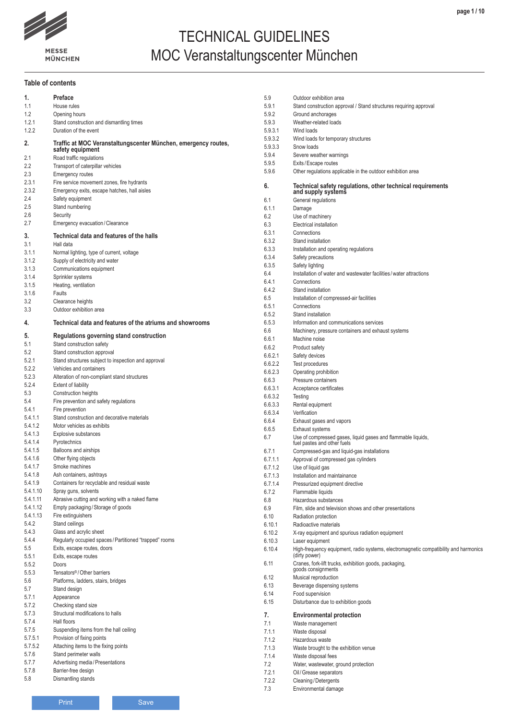

# TECHNICAL GUIDELINES MOC Veranstaltungscenter München

### **Table of contents**

| 1.                 | Preface                                                                            |
|--------------------|------------------------------------------------------------------------------------|
| 1.1                | House rules                                                                        |
| 1.2                | Opening hours                                                                      |
| 1.2.1              | Stand construction and dismantling times                                           |
| 1.2.2              | Duration of the event                                                              |
| 2.                 | Traffic at MOC Veranstaltungscenter München, emergency routes,<br>safety equipment |
| 2.1                | Road traffic regulations                                                           |
| 2.2                | Transport of caterpillar vehicles                                                  |
| 2.3                | <b>Emergency routes</b>                                                            |
| 2.3.1              | Fire service movement zones, fire hydrants                                         |
| 2.3.2              | Emergency exits, escape hatches, hall aisles                                       |
| 2.4                | Safety equipment                                                                   |
| 2.5                | Stand numbering                                                                    |
| 2.6                | Security                                                                           |
| 2.7                | Emergency evacuation / Clearance                                                   |
| 3.                 | Technical data and features of the halls                                           |
| 3.1                | Hall data                                                                          |
| 3.1.1              | Normal lighting, type of current, voltage                                          |
| 3.1.2              | Supply of electricity and water                                                    |
| 3.1.3              | Communications equipment                                                           |
| 3.1.4              | Sprinkler systems                                                                  |
| 3.1.5              | Heating, ventilation                                                               |
| 3.1.6              | Faults                                                                             |
| 3.2                | Clearance heights                                                                  |
| 3.3                | Outdoor exhibition area                                                            |
| 4.                 | Technical data and features of the atriums and showrooms                           |
| 5.                 | Regulations governing stand construction                                           |
| 5.1                | Stand construction safety                                                          |
| 5.2                | Stand construction approval                                                        |
| 5.2.1              | Stand structures subject to inspection and approval                                |
| 5.2.2              | Vehicles and containers                                                            |
| 5.2.3<br>5.2.4     | Alteration of non-compliant stand structures                                       |
|                    | <b>Extent of liability</b>                                                         |
|                    |                                                                                    |
| 5.3                | Construction heights                                                               |
| 5.4                | Fire prevention and safety regulations                                             |
| 5.4.1              | Fire prevention                                                                    |
| 5.4.1.1            | Stand construction and decorative materials                                        |
| 5.4.1.2            | Motor vehicles as exhibits                                                         |
| 5.4.1.3            | <b>Explosive substances</b>                                                        |
| 5.4.1.4<br>5.4.1.5 | Pyrotechnics<br>Balloons and airships                                              |
| 5.4.1.6            |                                                                                    |
| 5.4.1.7            | Other flying objects<br>Smoke machines                                             |
| 5.4.1.8            |                                                                                    |
| 5.4.1.9            | Ash containers, ashtrays<br>Containers for recyclable and residual waste           |
| 5.4.1.10           | Spray guns, solvents                                                               |
| 5.4.1.11           | Abrasive cutting and working with a naked flame                                    |
| 5.4.1.12           | Empty packaging / Storage of goods                                                 |
| 5.4.1.13           | Fire extinguishers                                                                 |
| 5.4.2              | Stand ceilings                                                                     |
| 5.4.3              | Glass and acrylic sheet                                                            |
| 5.4.4              | Regularly occupied spaces / Partitioned "trapped" rooms                            |
| 5.5                | Exits, escape routes, doors                                                        |
| 5.5.1              | Exits, escape routes                                                               |
| 5.5.2              | Doors                                                                              |
| 5.5.3              | Tensators <sup>®</sup> /Other barriers                                             |
| 5.6                | Platforms, ladders, stairs, bridges                                                |
| 5.7                | Stand design                                                                       |
| 5.7.1              | Appearance                                                                         |
| 5.7.2              | Checking stand size                                                                |
| 5.7.3              | Structural modifications to halls                                                  |
| 5.7.4              | Hall floors                                                                        |
| 5.7.5              | Suspending items from the hall ceiling                                             |
| 5.7.5.1            | Provision of fixing points                                                         |
| 5.7.5.2            | Attaching items to the fixing points                                               |
| 5.7.6<br>5.7.7     | Stand perimeter walls                                                              |
| 5.7.8              | Advertising media / Presentations<br>Barrier-free design                           |
| 5.8                | Dismantling stands                                                                 |

| 5.9                | Outdoor exhibition area                                                                               |
|--------------------|-------------------------------------------------------------------------------------------------------|
| 5.9.1              | Stand construction approval / Stand structures requiring approval                                     |
| 5.9.2              | Ground anchorages                                                                                     |
| 5.9.3              | Weather-related loads                                                                                 |
| 5.9.3.1<br>5.9.3.2 | Wind loads                                                                                            |
| 5.9.3.3            | Wind loads for temporary structures<br>Snow loads                                                     |
| 5.9.4              | Severe weather warnings                                                                               |
| 5.9.5              | Exits/Escape routes                                                                                   |
| 5.9.6              | Other regulations applicable in the outdoor exhibition area                                           |
| 6.                 | Technical safety regulations, other technical requirements<br>and supply systems                      |
| 6.1                | General regulations                                                                                   |
| 6.1.1              | Damage                                                                                                |
| 6.2                | Use of machinery                                                                                      |
| 6.3                | Electrical installation                                                                               |
| 6.3.1              | Connections                                                                                           |
| 6.3.2              | Stand installation                                                                                    |
| 6.3.3              | Installation and operating regulations                                                                |
| 6.3.4              | Safety precautions                                                                                    |
| 6.3.5<br>6.4       | Safety lighting<br>Installation of water and wastewater facilities / water attractions                |
| 641                | Connections                                                                                           |
| 6.4.2              | Stand installation                                                                                    |
| 6.5                | Installation of compressed-air facilities                                                             |
| 6.5.1              | Connections                                                                                           |
| 6.5.2              | Stand installation                                                                                    |
| 6.5.3              | Information and communications services                                                               |
| 6.6                | Machinery, pressure containers and exhaust systems                                                    |
| 6.6.1              | Machine noise                                                                                         |
| 6.6.2              | Product safety                                                                                        |
| 6.6.2.1            | Safety devices                                                                                        |
| 6.6.2.2            | Test procedures                                                                                       |
| 6.6.2.3            | Operating prohibition                                                                                 |
| 6.6.3              | Pressure containers                                                                                   |
| 6.6.3.1            | Acceptance certificates                                                                               |
| 6.6.3.2            | Testing                                                                                               |
| 6.6.3.3            | Rental equipment                                                                                      |
| 6.6.3.4<br>6.6.4   | Verification<br>Exhaust gases and vapors                                                              |
| 6.6.5              | Exhaust systems                                                                                       |
| 6.7                | Use of compressed gases, liquid gases and flammable liquids,                                          |
|                    | fuel pastes and other fuels                                                                           |
| 6.7.1              | Compressed-gas and liquid-gas installations                                                           |
| 6.7.1.1            | Approval of compressed gas cylinders                                                                  |
| 6.7.1.2            | Use of liquid gas                                                                                     |
| 6.7.1.3            | Installation and maintainance                                                                         |
| 6.7.1.4            | Pressurized equipment directive                                                                       |
| 6.7.2              | Flammable liquids                                                                                     |
| 6.8                | Hazardous substances                                                                                  |
| 6.9                | Film, slide and television shows and other presentations                                              |
| 6.10<br>6.10.1     | Radiation protection<br>Radioactive materials                                                         |
| 6.10.2             | X-ray equipment and spurious radiation equipment                                                      |
| 6.10.3             | Laser equipment                                                                                       |
| 6.10.4             | High-frequency equipment, radio systems, electromagnetic compatibility and harmonics<br>(dirty power) |
| 6.11               | Cranes, fork-lift trucks, exhibition goods, packaging,<br>goods consignments                          |
| 6.12               | Musical reproduction                                                                                  |
| 6.13               | Beverage dispensing systems                                                                           |
| 6.14<br>6.15       | Food supervision                                                                                      |
|                    | Disturbance due to exhibition goods                                                                   |
| 7.                 | <b>Environmental protection</b>                                                                       |
| 7.1                | Waste management                                                                                      |
| 7.1.1              | Waste disposal                                                                                        |
| 7.1.2              | Hazardous waste                                                                                       |
| 7.1.3              | Waste brought to the exhibition venue                                                                 |
| 7.1.4              | Waste disposal fees                                                                                   |
| 7.2                | Water, wastewater, ground protection                                                                  |
| 7.2.1              | Oil / Grease separators                                                                               |
| 7.2.2<br>7.3       | Cleaning / Detergents                                                                                 |
|                    | Environmental damage                                                                                  |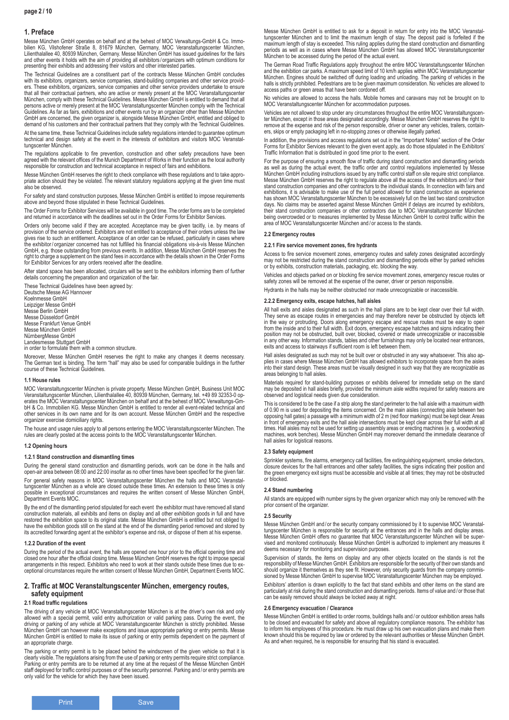## **1. Preface**

Messe München GmbH operates on behalf and at the behest of MOC Verwaltungs-GmbH & Co. Immo-<br>bilien KG, Vilshofener Straße 8, 81679 München, Germany, MOC Veranstaltungscenter München,<br>Lilienthalallee 40, 80939 Mün and other events it holds with the aim of providing all exhibitors / organizers with optimum conditions for presenting their exhibits and addressing their visitors and other interested parties.

The Technical Guidelines are a constituent part of the contracts Messe München GmbH concludes with its exhibitors, organizers, service companies, stand-building companies and other service provid-ers. These exhibitors, organizers, service companies and other service providers undertake to ensure that all their contractual partners, who are active or merely present at the MOC Veranstaltungscenter München, comply with these Technical Guidelines. Messe München GmbH is entitled to demand that all persons active or merely present at the MOC Veranstaltungscenter München comply with the Technical Guidelines. As far as fairs, exhibitions and other events run by an organizer other than Messe München GmbH are concerned, the given organizer is, alongside Messe München GmbH, entitled and obliged to demand of his customers and their contractual partners that they comply with the Technical Guidelines.

At the same time, these Technical Guidelines include safety regulations intended to guarantee optimum technical and design safety at the event in the interests of exhibitors and visitors MOC Veranstaltungscenter München.

The regulations applicable to fire prevention, construction and other safety precautions have been agreed with the relevant offices of the Munich Department of Works in their function as the local authority responsible for construction and technical acceptance in respect of fairs and exhibitions.

Messe München GmbH reserves the right to check compliance with these regulations and to take appropriate action should they be violated. The relevant statutory regulations applying at the given time must also be observed.

For safety and stand construction purposes, Messe München GmbH is entitled to impose requirements above and beyond those stipulated in these Technical Guidelines.

The Order Forms for Exhibitor Services will be available in good time. The order forms are to be completed and returned in accordance with the deadlines set out in the Order Forms for Exhibitor Services.

Orders only become valid if they are accepted. Acceptance may be given tacitly, i.e. by means of provision of the service ordered. Exhibitors are not entitled to acceptance of their orders unless the law gives rise to such an entitlement. Acceptance of an order can be refused, particularly in cases where the exhibitor/ organizer concerned has not fulfilled his financial obligations vis-à-vis Messe München GmbH, e.g. those outstanding from previous events. In addition, Messe München GmbH reserves the right to charge a supplement on the stand fees in accordance with the details shown in the Order Forms for Exhibitor Services for any orders received after the deadline.

After stand space has been allocated, circulars will be sent to the exhibitors informing them of further details concerning the preparation and organization of the fair.

These Technical Guidelines have been agreed by: Deutsche Messe AG Hannover Koelnmesse GmbH Leipziger Messe GmbH Messe Berlin GmbH Messe Düsseldorf GmbH Messe Frankfurt Venue GmbH Messe München GmbH NürnbergMesse GmbH Landesmesse Stuttgart GmbH in order to formulate them with a common structure.

Moreover, Messe München GmbH reserves the right to make any changes it deems necessary. The German text is binding. The term "hall" may also be used for comparable buildings in the further course of these Technical Guidelines.

#### **1.1 House rules**

MOC Veranstaltungscenter München is private property. Messe München GmbH, Business Unit MOC Veranstaltungscenter München, Lilienthalallee 40, 80939 München, Germany, tel. +49 89 32353-0 op-erates the MOC Veranstaltungscenter München on behalf and at the behest of MOC Verwaltungs-GmbH & Co. Immobilien KG. Messe München GmbH is entitled to render all event-related technical and other services in its own name and for its own account. Messe München GmbH and the respective organizer exercise domiciliary rights.

The house and usage rules apply to all persons entering the MOC Veranstaltungscenter München. The<br>rules are clearly posted at the access points to the MOC Veranstaltungscenter München.

### **1.2 Opening hours**

### **1.2.1 Stand construction and dismantling times**

During the general stand construction and dismantling periods, work can be done in the halls and open-air area between 08:00 and 22:00 insofar as no other times have been specified for the given fair. For general safety reasons in MOC Veranstaltungscenter München the halls and MOC Veranstal-<br>tungscenter München as a whole are closed outside these times. An extension to these times is only tungscenter München as a whole are closed outside these times. An extension to these times is only possible in exceptional circumstances and requires the written consent of Messe München GmbH, Department Events MOC.

By the end of the dismantling period stipulated for each event the exhibitor must have removed all stand<br>construction materials, all exhibits and items on display and all other exhibition goods in full and have<br>restored th

#### **1.2.2 Duration of the event**

During the period of the actual event, the halls are opened one hour prior to the official opening time and closed one hour after the official closing time. Messe München GmbH reserves the right to impose special arrangements in this respect. Exhibitors who need to work at their stands outside these times due to exceptional circumstances require the written consent of Messe München GmbH, Department Events MOC.

### **2. Traffic at MOC Veranstaltungscenter München, emergency routes, safety equipment**

### **2.1 Road traffic regulations**

The driving of any vehicle at MOC Veranstaltungscenter München is at the driver's own risk and only allowed with a special permit, valid entry authorization or valid parking pass. During the event, the driving or parking of any vehicle at MOC Veranstaltungscenter München is strictly prohibited. Messe München GmbH can however make exceptions and issue appropriate parking or entry permits. Messe München GmbH is entitled to make its issue of parking or entry permits dependent on the payment of an appropriate charge.

The parking or entry permit is to be placed behind the windscreen of the given vehicle so that it is clearly visible. The regulations arising from the use of parking or entry permits require strict compliance. Parking or entry permits are to be returned at any time at the request of the Messe München GmbH staff deployed for traffic control purposes or of the security personnel. Parking and / or entry permits are only valid for the vehicle for which they have been issued.

Messe München GmbH is entitled to ask for a deposit in return for entry into the MOC Veranstaltungscenter München and to limit the maximum length of stay. The deposit paid is forfeited if the maximum length of stay is exceeded. This ruling applies during the stand construction and dismantling periods as well as in cases where Messe München GmbH has allowed MOC Veranstaltungscenter München to be accessed during the period of the actual event.

The German Road Traffic Regulations apply throughout the entire MOC Veranstaltungscenter München and the exhibition car parks. A maximum speed limit of 10 km/h applies within MOC Veranstaltungscenter<br>München. Engines should be switched off during loading and unloading. The parking of vehicles in the<br>halls is strictly access paths or green areas that have been cordoned off.

No vehicles are allowed to access the halls. Mobile homes and caravans may not be brought on to MOC Veranstaltungscenter München for accommodation purposes.

Vehicles are not allowed to stop under any circumstances throughout the entire MOC Veranstaltungscen-<br>ter München, except in those areas designated accordingly. Messe München GmbH reserves the right to<br>remove at the expens ers, skips or empty packaging left in no-stopping zones or otherwise illegally parked.

In addition, the provisions and access regulations set out in the "Important Notes" section of the Order Forms for Exhibitor Services relevant to the given event apply, as do those stipulated in the Exhibitors' Traffic Information that is distributed in good time prior to the event.

For the purpose of ensuring a smooth flow of traffic during stand construction and dismantling periods as well as during the actual event, the traffic order and control regulations implemented by Messe München GmbH including instructions issued by any traffic control staff on site require strict compliance. Messe München GmbH reserves the right to regulate above all the access of the exhibitors and / or their stand construction companies and other contractors to the individual stands. In connection with fairs and exhibitions, it is advisable to make use of the full period allowed for stand construction as experience has shown MOC Veranstaltungscenter München to be excessively full on the last two stand construction<br>days. No claims may be asserted against Messe München GmbH if delays are incurred by exhibitors,<br>their stand construction being overcrowded or to measures implemented by Messe München GmbH to control traffic within the area of MOC Veranstaltungscenter München and / or access to the stands.

#### **2.2 Emergency routes**

#### **2.2.1 Fire service movement zones, fire hydrants**

Access to fire service movement zones, emergency routes and safety zones designated accordingly may not be restricted during the stand construction and dismantling periods either by parked vehicles or by exhibits, construction materials, packaging, etc. blocking the way.

Vehicles and objects parked on or blocking fire service movement zones, emergency rescue routes or safety zones will be removed at the expense of the owner, driver or person responsible.

Hydrants in the halls may be neither obstructed nor made unrecognizable or inaccessible.

#### **2.2.2 Emergency exits, escape hatches, hall aisles**

All hall exits and aisles designated as such in the hall plans are to be kept clear over their full width. They serve as escape routes in emergencies and may therefore never be obstructed by objects left<br>in the way or protruding. Doors along emergency escape and rescue routes must be easy to open<br>from the inside and to their fu position may not be obstructed, built over, blocked, covered or made unrecognizable or inaccessible in any other way. Information stands, tables and other furnishings may only be located near entrances, exits and access to stairways if sufficient room is left between them.

Hall aisles designated as such may not be built over or obstructed in any way whatsoever. This also applies in cases where Messe München GmbH has allowed exhibitors to incorporate space from the aisles into their stand design. These areas must be visually designed in such way that they are recognizable as areas belonging to hall aisles.

Materials required for stand-building purposes or exhibits delivered for immediate setup on the stand<br>may be deposited in hall aisles briefly, provided the minimum aisle widths required for safety reasons are<br>observed and

This is considered to be the case if a strip along the stand perimeter to the hall aisle with a maximum width of 0.90 m is used for depositing the items concerned. On the main aisles (connecting aisle between two opposing hall gates) a passage with a minimum width of 2 m (red floor markings) must be kept clear. Areas in front of emergency exits and the hall aisle intersections must be kept clear across their full width at all times. Hall aisles may not be used for setting up assembly areas or erecting machines (e. g. woodworking machines, work benches). Messe München GmbH may moreover demand the immediate clearance of hall aisles for logistical reasons.

#### **2.3 Safety equipment**

Sprinkler systems, fire alarms, emergency call facilities, fire extinguishing equipment, smoke detectors, closure devices for the hall entrances and other safety facilities, the signs indicating their position and the green emergency exit signs must be accessible and visible at all times; they may not be obstructed or blocked.

#### **2.4 Stand numbering**

All stands are equipped with number signs by the given organizer which may only be removed with the prior consent of the organizer.

#### **2.5 Security**

Messe München GmbH and / or the security company commissioned by it to supervise MOC Veranstal-<br>tungscenter München is responsible for security at the entrances and in the halls and display areas.<br>Messe München GmbH offers deems necessary for monitoring and supervision purposes.

Supervision of stands, the items on display and any other objects located on the stands is not the responsibility of Messe München GmbH. Exhibitors are responsible for the security of their own stands and should organize it themselves as they see fit. However, only security guards from the company commis-sioned by Messe München GmbH to supervise MOC Veranstaltungscenter München may be employed.

Exhibitors' attention is drawn explicitly to the fact that stand exhibits and other items on the stand are particularly at risk during the stand construction and dismantling periods. Items of value and / or those that can be easily removed should always be locked away at night.

#### **2.6 Emergency evacuation / Clearance**

Messe München GmbH is entitled to order rooms, buildings halls and / or outdoor exhibition areas halls to be closed and evacuated for safety and above all regulatory compliance reasons. The exhibitor has to inform his employees of this procedure. He must draw up his own evacuation plans and make them known should this be required by law or ordered by the relevant authorities or Messe München GmbH. As and when required, he is responsible for ensuring that his stand is evacuated.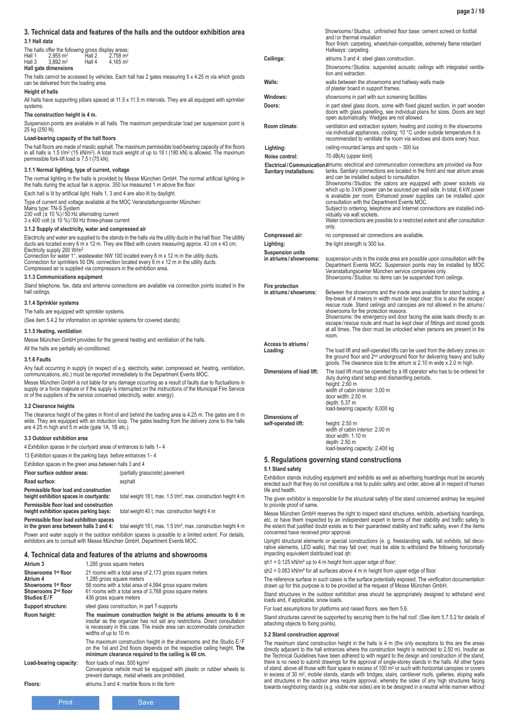### **3. Technical data and features of the halls and the outdoor exhibition area 3.1 Hall data**

# The halls offer the following gross display areas:<br>Hall 1  $2,955 \text{ m}^2$  Hall 2  $2,758 \text{ m}^2$

| .      | 111                  | 119112 | $1.1 \times 11$        |  |
|--------|----------------------|--------|------------------------|--|
| Hall 3 | $3.892 \text{ m}^2$  | Hall 4 | $4.165$ m <sup>2</sup> |  |
|        |                      |        |                        |  |
|        | Hall gate dimensions |        |                        |  |

The halls cannot be accessed by vehicles. Each hall has 2 gates measuring 5 x 4.25 m via which goods can be delivered from the loading area.

## **Height of halls**

All halls have supporting pillars spaced at 11.5 x 11.5 m intervals. They are all equipped with sprinkler systems.

### **The construction height is 4 m.**

Suspension points are available in all halls. The maximum perpendicular load per suspension point is 25 kg (250 N).

### **Load-bearing capacity of the hall floors**

The hall floors are made of mastic asphalt. The maximum permissible load-bearing capacity of the floors in all halls is 1.5 t/m2 (15 kN/m2). A total truck weight of up to 18 t (180 kN) is allowed. The maximum permissible fork-lift load is 7.5 t (75 kN).

#### **3.1.1 Normal lighting, type of current, voltage**

The normal lighting in the halls is provided by Messe München GmbH. The normal artificial lighting in the halls during the actual fair is approx. 350 lux measured 1 m above the floor.

Each hall is lit by artificial light. Halls 1, 3 and 4 are also lit by daylight.

Type of current and voltage available at the MOC Veranstaltungscenter München:

Mains type: TN-S System 230 volt (± 10 %)/ 50 Hz alternating current 3 x 400 volt (± 10 %)/ 50 Hz three-phase current

## **3.1.2 Supply of electricity, water and compressed air**

Electricity and water are supplied to the stands in the halls via the utility ducts in the hall floor. The utitlity ducts are located every 6 m x 12 m. They are fitted with covers measuring approx. 43 cm x 43 cm, Electricity supply 200 W/m2

Connection for water 1'', wastewater NW 100 located every 6 m x 12 m in the utility ducts. Connection for sprinklers 50 DN, connection located every 6 m x 12 m in the utility ducts. Compressed air is supplied via compressors in the exhibition area.

#### **3.1.3 Communications equipment**

Stand telephone, fax, data and antenna connections are available via connection points located in the hall ceilings.

### **3.1.4 Sprinkler systems**

The halls are equipped with sprinkler systems.

(See item 5.4.2 for information on sprinkler systems for covered stands)

### **3.1.5 Heating, ventilation**

Messe München GmbH provides for the general heating and ventilation of the halls.

All the halls are partially air-conditioned.

### **3.1.6 Faults**

Any fault occurring in supply (in respect of e.g. electricity, water, compressed air, heating, ventilation, communications, etc.) must be reported immediately to the Department Events MOC.

Messe München GmbH is not liable for any damage occurring as a result of faults due to fluctuations in supply or a force majeure or if the supply is interrupted on the instructions of the Municipal Fire Service or of the suppliers of the service concerned (electricity, water, energy).

### **3.2 Clearance heights**

The clearance height of the gates in front of and behind the loading area is 4.25 m. The gates are 6 m wide. They are equipped with an induction loop. The gates leading from the delivery zone to the halls are 4.25 m high and 5 m wide (gate 1A, 1B etc,).

#### **3.3 Outdoor exhibition area**

4 Exhibition spaces in the courtyard areas of entrances to halls 1– 4

13 Exhibition spaces in the parking bays before entrances 1– 4

### Exhibition spaces in the green area between halls 3 and 4

**Floor surface outdoor areas:** (partially grasscrete) pavement **Road surface:** asphalt **Permissible floor load and construction height 18 t** max. 1.5 t/m<sup>2</sup> max. construction height 4 m

**Permissible floor load exhibition spaces in the green area between halls 3 and 4:** total weight 18 t, max. 1.5 t/m², max. construction height 4 m

Power and water supply in the outdoor exhibition spaces is possible to a limited extent. For details, exhibitors are to consult with Messe München GmbH, Department Events MOC.

## **4. Technical data and features of the atriums and showrooms**

| Atrium 3                                                                                                             | 1,285 gross square meters                                                                                                                                                                                                                       |
|----------------------------------------------------------------------------------------------------------------------|-------------------------------------------------------------------------------------------------------------------------------------------------------------------------------------------------------------------------------------------------|
| Showrooms 1 <sup>st</sup> floor<br>Atrium 4<br>Showrooms 1st floor<br>Showrooms 2 <sup>nd</sup> floor<br>Studios E/F | 21 rooms with a total area of 2,173 gross square meters<br>1,285 gross square meters<br>58 rooms with a total area of 4,994 gross square meters<br>61 rooms with a total area of 3,768 gross square meters<br>436 gross square meters           |
| Support structure:                                                                                                   | steel glass construction, in part T-supports                                                                                                                                                                                                    |
| Room height:                                                                                                         | The maximum construction height in the atriums amounts to 6 m<br>insofar as the organizer has not set any restrictions. Direct consultation<br>is necessary in this case. The inside area can accommodate construction<br>widths of up to 10 m. |
|                                                                                                                      | The maximum construction height in the showrooms and the Studio $E/F$<br>on the 1st and 2nd floors depends on the respective ceiling height. The<br>minimum clearance required to the ceiling is 60 cm.                                         |
| Load-bearing capacity:                                                                                               | floor loads of max. 500 $kg/m2$<br>Conveyance vehicle must be equipped with plastic or rubber wheels to<br>prevent damage, metal wheels are prohibited.                                                                                         |
| Floors:                                                                                                              | atriums 3 and 4: marble floors in tile form                                                                                                                                                                                                     |
|                                                                                                                      |                                                                                                                                                                                                                                                 |

|                                                  | Showrooms/Studios: unfinished floor base: cement screed on footfall<br>and/or thermal insulation<br>floor finish: carpeting, wheelchair-compatible, extremely flame retardant<br>Hallways: carpeting.                                                                                                                                                                                                                                                                                                                                                                                                                                                                                                              |
|--------------------------------------------------|--------------------------------------------------------------------------------------------------------------------------------------------------------------------------------------------------------------------------------------------------------------------------------------------------------------------------------------------------------------------------------------------------------------------------------------------------------------------------------------------------------------------------------------------------------------------------------------------------------------------------------------------------------------------------------------------------------------------|
| Ceilings:                                        | atriums 3 and 4: steel glass construction.                                                                                                                                                                                                                                                                                                                                                                                                                                                                                                                                                                                                                                                                         |
|                                                  | Showrooms/Studios: suspended acoustic ceilings with integrated ventila-<br>tion and extraction.                                                                                                                                                                                                                                                                                                                                                                                                                                                                                                                                                                                                                    |
| Walls:                                           | walls between the showrooms and hallway walls made<br>of plaster board in support frames.                                                                                                                                                                                                                                                                                                                                                                                                                                                                                                                                                                                                                          |
| Windows:                                         | showrooms in part with sun screening facilities                                                                                                                                                                                                                                                                                                                                                                                                                                                                                                                                                                                                                                                                    |
| Doors:                                           | in part steel glass doors, some with fixed glazed section, in part wooden<br>doors with glass panelling, see individual plans for sizes. Doors are kept<br>open automatically. Wedges are not allowed.                                                                                                                                                                                                                                                                                                                                                                                                                                                                                                             |
| Room climate:                                    | ventilation and extraction system, heating and cooling in the showrooms<br>via individual appliances, cooling: 10 °C under outside temperature. It is<br>recommended to ventilate the room via windows and doors every hour.                                                                                                                                                                                                                                                                                                                                                                                                                                                                                       |
| Lighting:                                        | ceiling-mounted lamps and spots - 300 lux                                                                                                                                                                                                                                                                                                                                                                                                                                                                                                                                                                                                                                                                          |
| Noise control:                                   | 70 dB(A) (upper limit)                                                                                                                                                                                                                                                                                                                                                                                                                                                                                                                                                                                                                                                                                             |
| <b>Sanitary installations:</b>                   | Electrical / Communication atriums: electrical and communication connections are provided via floor<br>tanks. Sanitary connections are located in the front and rear atrium areas<br>and can be installed subject to consultation.<br>Showrooms/Studios: the salons are equipped with power sockets via<br>which up to 3 kW power can be sourced per wall side. In total, 6 kW power<br>is available per room. Enhanced power supplies can be installed upon<br>consultation with the Department Events MOC.<br>Subject to ordering, telephone and Internet connections are installed indi-<br>vidually via wall sockets.<br>Water connections are possible to a restricted extent and after consultation<br>only. |
| Compressed air:                                  | no compressed air connections are available.                                                                                                                                                                                                                                                                                                                                                                                                                                                                                                                                                                                                                                                                       |
| Lighting:                                        | the light strength is 300 lux.                                                                                                                                                                                                                                                                                                                                                                                                                                                                                                                                                                                                                                                                                     |
| <b>Suspension units</b><br>in atriums/showrooms: | suspension units in the inside area are possible upon consultation with the<br>Department Events MOC. Suspension points may be installed by MOC<br>Veranstaltungscenter München service companies only.<br>Showrooms / Studios: no items can be suspended from ceilings.                                                                                                                                                                                                                                                                                                                                                                                                                                           |
| Fire protection<br>in atriums/showroms:          | Between the showrooms and the inside area available for stand building, a<br>fire-break of 4 meters in width must be kept clear; this is also the escape/<br>rescue route. Stand ceilings and canopies are not allowed in the atriums/<br>showrooms for fire protection reasons.<br>Showrooms: the emergency exit door facing the aisle leads directly to an<br>escape/rescue route and must be kept clear of fittings and stored goods<br>at all times. The door must be unlocked when persons are present in the<br>room.                                                                                                                                                                                        |
| Access to atriums/<br>Loading:                   | The load lift and self-operated lifts can be used from the delivery zones on<br>the ground floor and 2 <sup>nd</sup> underground floor for delivering heavy and bulky<br>goods. The clearance size to the atrium is 2.10 m wide x 2.0 m high.                                                                                                                                                                                                                                                                                                                                                                                                                                                                      |
| Dimensions of load lift:                         | The load lift must be operated by a lift operator who has to be ordered for<br>duty during stand setup and dismantling periods.<br>height: 2.60 m<br>width of cabin interior: 3.00 m<br>door width: 2.50 m<br>depth: 5.37 m<br>load-bearing capacity: 8,000 kg                                                                                                                                                                                                                                                                                                                                                                                                                                                     |
| Dimensions of<br>self-operated lift:             | height: 2.50 m<br>width of cabin interior: 2.00 m<br>door width: 1.10 m<br>depth: 2.50 m<br>load-bearing capacity: 2,400 kg                                                                                                                                                                                                                                                                                                                                                                                                                                                                                                                                                                                        |

## **5. Regulations governing stand constructions**

### **5.1 Stand safety**

Exhibition stands including equipment and exhibits as well as advertising hoardings must be securely erected such that they do not constitute a risk to public safety and order, above all in respect of human life and health.

The given exhibitor is responsible for the structural safety of the stand concerned andmay be required to provide proof of same.

Messe München GmbH reserves the right to inspect stand structures, exhibits, advertising hoardings,<br>etc. or have them inspected by an independent expert in terms of their stability and traffic safety to<br>the extent that jus concerned have received prior approval.

Upright structural elements or special constructions (e. g. freestanding walls, tall exhibits, tall deco-rative elements, LED walls), that may fall over, must be able to withstand the following horizontally impacting equivalent distributed load qh:

qh1 = 0.125 kN/m² up to 4 m height from upper edge of floor;

qh2 = 0.063 kN/m² for all surfaces above 4 m in height from upper edge of floor.

The reference surface in such cases is the surface potentially exposed. The verification documentation drawn up for this purpose is to be provided at the request of Messe München GmbH.

Stand structures in the outdoor exhibition area should be appropriately designed to withstand wind

loads and, if applicable, snow loads.

For load assumptions for platforms and raised floors, see Item 5.6.

Stand structures cannot be supported by securing them to the hall roof. (See item 5.7.5.2 for details of attaching objects to fixing points).

### **5.2 Stand construction approval**

The maximum stand construction height in the halls is 4 m (the only exceptions to this are the areas directly adjacent to the hall entrances where the construction height is restricted to 2.50 m). Insofar as the Technical Guidelines have been adhered to with regard to the design and construction of the stand, there is no need to submit drawings for the approval of single-storey stands in the halls. All other types<br>of stand, above all those with floor space in excess of 100 m² or such with horizontal canopies or covers<br>in excess and structures in the outdoor area require approval, whereby the sides of any high structures facing towards neighboring stands (e.g. visible rear sides) are to be designed in a neutral white manner without

**Permissible floor load and construction height 40 t**, max. construction height 4 m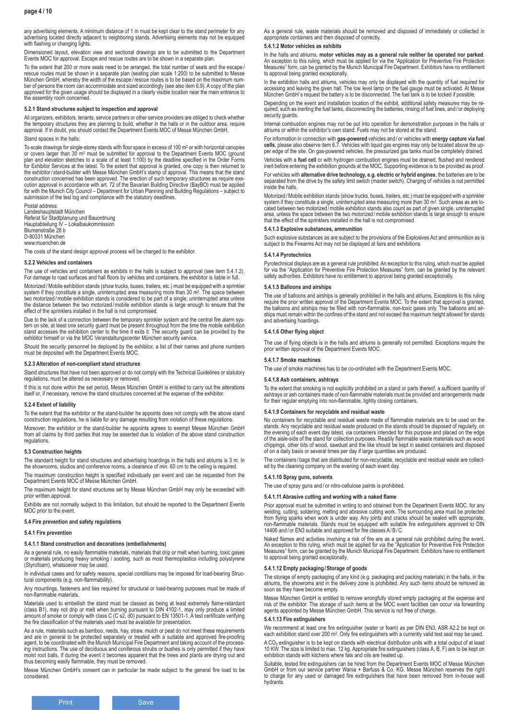any advertising elements. A minimum distance of 1 m must be kept clear to the stand perimeter for any advertising located directly adjacent to neighboring stands. Advertising elements may not be equipped with flashing or changing lights.

Dimensioned layout, elevation view and sectional drawings are to be submitted to the Department Events MOC for approval. Escape and rescue routes are to be shown in a separate plan.

To the extent that 200 or more seats need to be arranged, the total number of seats and the escape / rescue routes must be shown in a separate plan (seating plan scale 1:200) to be submitted to Messe München GmbH, whereby the width of the escape /rescue routes is to be based on the maximum number of persons the room can accommodate and sized accordingly (see also item 6.9). A copy of the plan approved for the given usage should be displayed in a clearly visible location near the main entrance to the assembly room concerned.

#### **5.2.1 Stand structures subject to inspection and approval**

All organizers, exhibitors, tenants, service partners or other service providers are obliged to check whether the temporary structures they are planning to build, whether in the halls or in the outdoor area, require approval. If in doubt, you should contact the Department Events MOC of Messe München GmbH.

### Stand spaces in the halls:

To-scale drawings for single-storey stands with floor space in excess of 100 m<sup>2</sup> or with horizontal canopies or covers larger than 30 m2 must be submitted for approval to the Department Events MOC (ground plan and elevation sketches to a scale of at least 1:100) by the deadline specified in the Order Forms for Exhibitor Services at the latest. To the extent that approval is granted, one copy is then returned to the exhibitor/ stand-builder with Messe München GmbH's stamp of approval. This means that the stand construction concerned has been approved. The erection of such temporary structures as require exe-cution approval in accordance with art. 72 of the Bavarian Building Directive (BayBO) must be applied for with the Munich City Council – Department for Urban Planning and Building Regulations – subject to submission of the test log and compliance with the statutory deadlines.

Postal address: Landeshauptstadt München Referat für Stadtplanung und Bauordnung Hauptabteilung IV – Lokalbaukommission Blumenstraße 28 b D-80331 München www.muenchen.de

The costs of the stand design approval process will be charged to the exhibitor.

#### **5.2.2 Vehicles and containers**

The use of vehicles and containers as exhibits in the halls is subject to approval (see item 5.4.1.2). For damage to road surfaces and hall floors by vehicles and containers, the exhibitor is liable in full.

Motorized /Mobile exhibition stands (show trucks, buses, trailers, etc.) must be equipped with a sprinkler system if they constitute a single, uninterrupted area measuring more than 30 m<sup>2</sup>. The space between two motorized /mobile exhibition stands is considered to be part of a single, uninterrupted area unless the distance between the two motorized /mobile exhibition stands is large enough to ensure that the effect of the sprinklers installed in the hall is not compromised.

Due to the lack of a connection between the temporary sprinkler system and the central fire alarm sys-<br>tem on site, at least one security guard must be present throughout from the time the mobile exhibition<br>stand accesses exhibitor himself or via the MOC Veranstaltungscenter München security service.

Should the security personnel be deployed by the exhibitor, a list of their names and phone numbers must be deposited with the Department Events MOC.

#### **5.2.3 Alteration of non-compliant stand structures**

Stand structures that have not been approved or do not comply with the Technical Guidelines or statutory regulations, must be altered as necessary or removed.

If this is not done within the set period, Messe München GmbH is entitled to carry out the alterations itself or, if necessary, remove the stand structures concerned at the expense of the exhibitor.

### **5.2.4 Extent of liability**

To the extent that the exhibitor or the stand-builder he appoints does not comply with the above stand construction regulations, he is liable for any damage resulting from violation of these regulations. Moreover, the exhibitor or the stand-builder he appoints agrees to exempt Messe München GmbH from all claims by third parties that may be asserted due to violation of the above stand construction regulations.

#### **5.3 Construction heights**

The standard height for stand structures and advertising hoardings in the halls and atriums is 3 m. In the showrooms, studios and conference rooms, a clearance of min. 60 cm to the ceiling is required.

The maximum construction height is specified individually per event and can be requested from the Department Events MOC of Messe München GmbH.

The maximum height for stand structures set by Messe München GmbH may only be exceeded with prior written approval.

Exhibits are not normally subject to this limitation, but should be reported to the Department Events MOC prior to the event.

### **5.4 Fire prevention and safety regulations**

#### **5.4.1 Fire prevention**

#### **5.4.1.1 Stand construction and decorations (embellishments)**

As a general rule, no easily flammable materials, materials that drip or melt when burning, toxic gases or materials producing heavy smoking / sooting, such as most thermoplastics including polystyrene (Styrofoam), whatsoever may be used.

In individual cases and for safety reasons, special conditions may be imposed for load-bearing Structural components (e.g. non-flammability).

Any mountings, fasteners and ties required for structural or load-bearing purposes must be made of non-flammable materials.

Materials used to embellish the stand must be classed as being at least extremely flame-retardant (class B1), may not drip or melt when burning pursuant to DIN 4102-1, may only produce a limited amount of smoke or comply with class C (C s2, d0) pursuant to EN 13501-1. A test certificate verifying the fire classification of the materials used must be available for presentation.

As a rule, materials such as bamboo, reeds, hay, straw, mulch or peat do not meet these requirements and are in general to be protected separately or treated with a suitable and approved fire-proofing agent, to be coordinated with the Munich Municipal Fire Department and taking account of the processing instructions. The use of deciduous and coniferous shrubs or bushes is only permitted if they have moist root balls. If during the event it becomes apparent that the trees and plants are drying out and thus becoming easily flammable, they must be removed.

Messe München GmbH's consent can in particular be made subject to the general fire load to be considered.

As a general rule, waste materials should be removed and disposed of immediately or collected in appropriate containers and then disposed of correctly.

### **5.4.1.2 Motor vehicles as exhibits**

In the halls and atriums, **motor vehicles may as a general rule neither be operated nor parked**.<br>An exception to this ruling, which must be applied for via the "Application for Preventive Fire Protection Measures" form, can be granted by the Munich Municipal Fire Department. Exhibitors have no entitlement to approval being granted exceptionally.

In the exhibition halls and atriums, vehicles may only be displayed with the quantity of fuel required for accessing and leaving the given hall. The low level lamp on the fuel gauge must be activated. At Messe München GmbH´s request the battery is to be disconnected. The fuel tank is to be locked if possible.

Depending on the event and installation location of the exhibit, additional safety measures may be required, such as inerting the fuel tanks, disconnecting the batteries, rinsing of fuel lines, and / or deploying security guards.

Internal combustion engines may not be put into operation for demonstration purposes in the halls or atriums or within the exhibitor's own stand. Fuels may not be stored at the stand.

For information in connection with **gas-powered** vehicles and / or vehicles with **energy capture via fuel cells**, please also observe item 6.7. Vehicles with liquid gas engines may only be located above the up-per edge of the site. On gas-powered vehicles, the pressurized gas tanks must be completely drained.

Vehicles with a **fuel cell** or with hydrogen combustion engines must be drained, flushed and rendered inert before entering the exhibition grounds at the MOC. Supporting evidence is to be provided as proof.

For vehicles with **alternative drive technology, e.g. electric or hybrid engines**, the batteries are to be separated from the drive by the safety limit switch (master switch). Charging of vehicles is not permitted inside the halls.

Motorized /Mobile exhibition stands (show trucks, buses, trailers, etc.) must be equipped with a sprinkler system if they constitute a single, uninterrupted area measuring more than 30 m2. Such areas as are located between two motorized /mobile exhibition stands also count as part of given single, uninterrupted area, unless the space between the two motorized /mobile exhibition stands is large enough to ensure that the effect of the sprinklers installed in the hall is not compromised.

#### **5.4.1.3 Explosive substances, ammunition**

Such explosive substances as are subject to the provisions of the Explosives Act and ammunition as is subject to the Firearms Act may not be displayed at fairs and exhibitions.

#### **5.4.1.4 Pyrotechnics**

Pyrotechnical displays are as a general rule prohibited. An exception to this ruling, which must be applied for via the "Application for Preventive Fire Protection Measures" form, can be granted by the relevant safety authorities. Exhibitors have no entitlement to approval being granted exceptionally.

#### **5.4.1.5 Balloons and airships**

The use of balloons and airships is generally prohibited in the halls and atriums. Exceptions to this ruling<br>require the prior written approval of the Department Events MOC. To the extent that approval is granted,<br>the ball ships must remain within the confines of the stand and not exceed the maximum height allowed for stands and advertising hoardings.

### **5.4.1.6 Other flying object**

The use of flying objects is in the halls and atriums is generally not permitted. Exceptions require the prior written approval of the Department Events MOC.

### **5.4.1.7 Smoke machines**

The use of smoke machines has to be co-ordinated with the Department Events MOC.

#### **5.4.1.8 Ash containers, ashtrays**

To the extent that smoking is not explicitly prohibited on a stand or parts thereof, a sufficient quantity of ashtrays or ash containers made of non-flammable materials must be provided and arrangements made for their regular emptying into non-flammable, tightly closing containers.

#### **5.4.1.9 Containers for recyclable and residual waste**

No containers for recyclable and residual waste made of flammable materials are to be used on the stands. Any recyclable and residual waste produced on the stands should be disposed of regularly, on the evening of each event day latest, via containers intended for this purpose and placed on the edge of the aisle-side of the stand for collection purposes. Readily flammable waste materials such as wood chippings, other bits of wood, sawdust and the like should be kept in sealed containers and disposed of on a daily basis or several times per day if large quantities are produced.

The containers / bags that are distributed for non-recyclable, recyclable and residual waste are collect-ed by the cleaning company on the evening of each event day.

### **5.4.1.10 Spray guns, solvents**

Prior approval must be submitted in writing to and obtained from the Department Events MOC. for any welding, cutting, soldering, melting and abrasive cutting work. The surrounding area must be protected from flying sparks when work is under way. Any joints and cracks should be sealed with appropriate, non-flammable materials. Stands must be equipped with suitable fire extinguishers approved to DIN 14406 and / or EN3 suitable and approved for fire classes A/B/C.

Naked flames and activities involving a risk of fire are as a general rule prohibited during the event. An exception to this ruling, which must be applied for via the "Application for Preventive Fire Protection Measures" form, can be granted by the Munich Municipal Fire Department. Exhibitors have no entitlement to approval being granted exceptionally.

### **5.4.1.12 Empty packaging/Storage of goods**

The storage of empty packaging of any kind (e.g. packaging and packing materials) in the halls, in the atriums, the showroms and in the delivery zone is prohibited. Any such items should be removed as soon as they have become empty.

Messe München GmbH is entitled to remove wrongfully stored empty packaging at the expense and risk of the exhibitor. The storage of such items at the MOC event facilities can occur via forwarding agents appointed by Messe München GmbH. This service is not free of charge.

#### **5.4.1.13 Fire extinguishers**

We recommend at least one fire extinguisher (water or foam) as per DIN EN3, ASR A2.2 be kept on each exhibition stand over 200 m2. Only fire extinguishers with a currently valid test seal may be used.

A CO<sub>2</sub> extinguisher is to be kept on stands with electrical distribution units with a total output of at least<br>10 KW. The size is limited to max. 12 kg. Appropriate fire extinguishers (class A, B, F) are to be kept on<br>exh

Suitable, tested fire extinguishers can be hired from the Department Events MOC of Messe München GmbH or from our service partner Wania + Barfuss & Co. KG. Messe München reserves the right to charge for any used or damaged fire extinguishers that have been removed from in-house wall hydrants.

The use of spray guns and / or nitro-cellulose paints is prohibited.

### **5.4.1.11 Abrasive cutting and working with a naked flame**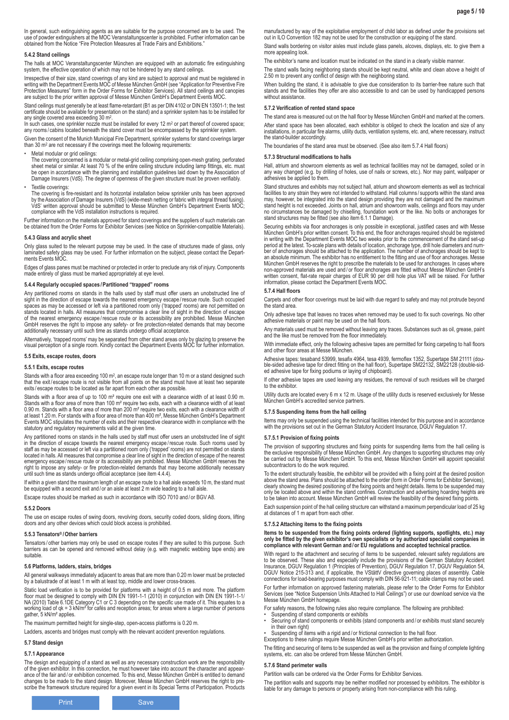In general, such extinguishing agents as are suitable for the purpose concerned are to be used. The use of powder extinguishers at the MOC Veranstaltungscenter is prohibited. Further information can be obtained from the Notice "Fire Protection Measures at Trade Fairs and Exhibitions."

### **5.4.2 Stand ceilings**

The halls at MOC Veranstaltungscenter München are equipped with an automatic fire extinguishing system, the effective operation of which may not be hindered by any stand ceilings.

Irrespective of their size, stand coverings of any kind are subject to approval and must be registered in writing with the Department Events MOC of Messe München GmbH (see "Application for Preventive Fire Protection Measures" form in the Order Forms for Exhibitor Services). All stand ceilings and canopies are subject to the prior written approval of Messe München GmbH's Department Events MOC.

Stand ceilings must generally be at least flame-retardant (B1 as per DIN 4102 or DIN EN 13501-1; the test certificate should be available for presentation on the stand) and a sprinkler system has to be installed for any single covered area exceeding 30 m2.

In such cases, one sprinkler nozzle must be installed for every 12 m² or part thereof of covered space;<br>any rooms / cabins located beneath the stand cover must be encompassed by the sprinkler system.

Given the consent of the Munich Municipal Fire Department, sprinkler systems for stand coverings larger than 30 m2 are not necessary if the coverings meet the following requirements:

Metal modular or grid ceilings:

The covering concerned is a modular or metal-grid ceiling comprising open-mesh grating, perforated sheet metal or similar. At least 70 % of the entire ceiling structure including lamp fittings, etc. must be open in accordance with the planning and installation guidelines laid down by the Association of Damage Insurers (VdS). The degree of openness of the given structure must be proven verifiably.

Textile coverings:

The covering is fire-resistant and its horizontal installation below sprinkler units has been approved<br>by the Association of Damage Insurers (VdS) (wide-mesh netting or fabric with integral thread fusing).<br>VdS' written app compliance with the VdS installation instructions is required.

Further information on the materials approved for stand coverings and the suppliers of such materials can be obtained from the Order Forms for Exhibitor Services (see Notice on Sprinkler-compatible Materials).

### **5.4.3 Glass and acrylic sheet**

Only glass suited to the relevant purpose may be used. In the case of structures made of glass, only laminated safety glass may be used. For further information on the subject, please contact the Departments Events MOC.

Edges of glass panes must be machined or protected in order to preclude any risk of injury. Components made entirely of glass must be marked appropriately at eye level.

### **5.4.4 Regularly occupied spaces /Partitioned "trapped" rooms**

Any partitioned rooms on stands in the halls used by staff must offer users an unobstructed line of sight in the direction of escape towards the nearest emergency escape/rescue route. Such occupied<br>spaces as may be accessed or left via a partitioned room only ('trapped' rooms) are not permitted on<br>stands located in halls of the nearest emergency escape /rescue route or its accessibility are prohibited. Messe München GmbH reserves the right to impose any safety- or fire protection-related demands that may become additionally necessary until such time as stands undergo official acceptance.

Alternatively, 'trapped rooms' may be separated from other stand areas only by glazing to preserve the visual perception of a single room. Kindly contact the Department Events MOC for further information.

#### **5.5 Exits, escape routes, doors**

#### **5.5.1 Exits, escape routes**

Stands with a floor area exceeding 100 m<sup>2</sup>, an escape route longer than 10 m or a stand designed such that the exit / escape route is not visible from all points on the stand must have at least two separate exits / escape routes to be located as far apart from each other as possible.

Stands with a floor area of up to 100 m² require one exit with a clearance width of at least 0.90 m.<br>Stands with a floor area of more than 100 m² require two exits, each with a clearance width of at least 0.90 m. Stands with a floor area of more than 200 m² require two exits, each with a clearance width of at least 1.20 m. For stands with a floor area of more than 400 m², Messe München GmbH's Department Events MOC stipulates the number of exits and their respective clearance width in compliance with the statutory and regulatory requirements valid at the given time.

Any partitioned rooms on stands in the halls used by staff must offer users an unobstructed line of sight in the direction of escape towards the nearest emergency escape /rescue route. Such rooms used by staff as may be accessed or left via a partitioned room only ('trapped' rooms) are not permitted on stands located in halls. All measures that compromise a clear line of sight in the direction of escape of the nearest<br>emergency escape / rescue route or its accessibility are prohibited. Messe München GmbH reserves the<br>right to i until such time as stands undergo official acceptance (see item 4.4.4).

If within a given stand the maximum length of an escape route to a hall aisle exceeds 10 m, the stand must be equipped with a second exit and / or an aisle at least 2 m wide leading to a hall aisle

Escape routes should be marked as such in accordance with ISO 7010 and / or BGV A8.

#### **5.5.2 Doors**

The use on escape routes of swing doors, revolving doors, security coded doors, sliding doors, lifting doors and any other devices which could block access is prohibited.

### **5.5.3 Tensators® /Other barriers**

Tensators / other barriers may only be used on escape routes if they are suited to this purpose. Such barriers as can be opened and removed without delay (e.g. with magnetic webbing tape ends) are suitable.

### **5.6 Platforms, ladders, stairs, bridges**

All general walkways immediately adjacent to areas that are more than 0.20 m lower must be protected by a balustrade of at least 1 m with at least top, middle and lower cross-braces.

Static load verification is to be provided for platforms with a height of 0.5 m and more. The platform<br>floor must be designed to comply with DIN EN 1991-1-1 (2010) in conjunction with DIN EN 1991-1-1/<br>NA (2010) Table 6.1DE working load of qk = 3 kN/m² for cafés and reception areas; for areas where a large number of persons gather, 5 kN/m<sup>2</sup> applies.

The maximum permitted height for single-step, open-access platforms is 0.20 m.

Ladders, ascents and bridges must comply with the relevant accident prevention regulations.

### **5.7 Stand design**

### **5.7.1 Appearance**

The design and equipping of a stand as well as any necessary construction work are the responsibility<br>of the given exhibitor. In this connection, he must however take into account the character and appear-<br>ance of the fair changes to be made to the stand design. Moreover, Messe München GmbH reserves the right to pre-scribe the framework structure required for a given event in its Special Terms of Participation. Products manufactured by way of the exploitative employment of child labor as defined under the provisions set out in ILO Convention 182 may not be used for the construction or equipping of the stand.

Stand walls bordering on visitor aisles must include glass panels, alcoves, displays, etc. to give them a more appealing look.

The exhibitor's name and location must be indicated on the stand in a clearly visible manner.

The stand walls facing neighboring stands should be kept neutral, white and clean above a height of 2.50 m to prevent any conflict of design with the neighboring stand.

When building the stand, it is advisable to give due consideration to its barrier-free nature such that stands and the facilities they offer are also accessible to and can be used by handicapped persons without assistance

### **5.7.2 Verification of rented stand space**

The stand area is measured out on the hall floor by Messe München GmbH and marked at the corners. After stand space has been allocated, each exhibitor is obliged to check the location and size of any installations, in particular fire alarms, utility ducts, ventilation systems, etc. and, where necessary, instruct the stand-builder accordingly.

The boundaries of the stand area must be observed. (See also item 5.7.4 Hall floors)

#### **5.7.3 Structural modifications to halls**

Hall, atrium and showroom elements as well as technical facilities may not be damaged, soiled or in any way changed (e.g. by drilling of holes, use of nails or screws, etc.). Nor may paint, wallpaper or adhesives be applied to them.

Stand structures and exhibits may not subject hall, atrium and showroom elements as well as technical facilities to any strain they were not intended to withstand. Hall columns / supports within the stand area may, however, be integrated into the stand design providing they are not damaged and the maximum stand height is not exceeded. Joints on hall, atrium and showroom walls, ceilings and floors may under no circumstances be damaged by chiselling, foundation work or the like. No bolts or anchorages for stand structures may be fitted (see also item 6.1.1 Damage).

Securing exhibits via floor anchorages is only possible in exceptional, justified cases and with Messe München GmbH's prior written consent. To this end, the floor anchorages required should be registered in writing with the Department Events MOC two weeks prior to the commencement of the stand set-up period at the latest. To-scale plans with details of location, anchorage type, drill hole diameters and num-<br>ber of anchorages should be attached to the application. The number of anchorages should be kept to<br>an absolute m München GmbH reserves the right to prescribe the materials to be used for anchorages. In cases where<br>non-approved materials are used and / or floor anchorages are fitted without Messe München GmbH's<br>written consent, flat-r information, please contact the Department Events MOC.

### **5.7.4 Hall floors**

Carpets and other floor coverings must be laid with due regard to safety and may not protrude beyond the stand area.

Only adhesive tape that leaves no traces when removed may be used to fix such coverings. No other adhesive materials or paint may be used on the hall floors.

Any materials used must be removed without leaving any traces. Substances such as oil, grease, paint and the like must be removed from the floor immediately.

With immediate effect, only the following adhesive tapes are permitted for fixing carpeting to hall floors and other floor areas at Messe München.

Adhesive tapes: tesaband 53999, tesafix 4964, tesa 4939, fermoflex 1352, Supertape SM 21111 (double-sided adhesive tape for direct fitting on the hall floor), Supertape SM22132, SM22128 (double-sid-ed adhesive tape for fixing podiums or laying of chipboard).

If other adhesive tapes are used leaving any residues, the removal of such residues will be charged to the exhibitor.

Utility ducts are located every 6 m x 12 m. Usage of the utility ducts is reserved exclusively for Messe München GmbH's accredited service partners.

### **5.7.5 Suspending items from the hall ceiling**

Items may only be suspended using the technical facilities intended for this purpose and in accordance with the provisions set out in the German Statutory Accident Insurance, DGUV Regulation 17.

#### **5.7.5.1 Provision of fixing points**

The provision of supporting structures and fixing points for suspending items from the hall ceiling is<br>the exclusive responsibility of Messe München GmbH. Any changes to supporting structures may only<br>be carried out by Mes subcontractors to do the work required

To the extent structurally feasible, the exhibitor will be provided with a fixing point at the desired position above the stand area. Plans should be attached to the order (form in Order Forms for Exhibitor Services), clearly showing the desired positioning of the fixing points and height details. Items to be suspended may only be located above and within the stand confines. Construction and advertising hoarding heights are to be taken into account. Messe München GmbH will review the feasibility of the desired fixing points.

Each suspension point of the hall ceiling structure can withstand a maximum perpendicular load of 25 kg at distances of 1 m apart from each other.

#### **5.7.5.2 Attaching items to the fixing points**

ltems to be suspended from the fixing points ordered (lighting supports, spotlights, etc.) may<br>only be fitted by the given exhibitor's own specialists or by authorized specialist companies in<br>compliance with relevant Germa

With regard to the attachment and securing of items to be suspended, relevant safety regulations are to be observed. These also and especially include the provisions of the German Statutory Accident<br>Insurance, DGUV Regulation 1 (Principles of Prevention), DGUV Regulation 17, DGUV Regulation 54,<br>DGUV Notice 215-313 and, if

For further information on approved fastening materials, please refer to the Order Forms for Exhibitor Services (see "Notice Suspension Units Attached to Hall Ceilings") or use our download service via the Messe München GmbH homepage.

For safety reasons, the following rules also require compliance. The following are prohibited:

• Suspending of stand components or exhibits

- Securing of stand components or exhibits (stand components and / or exhibits must stand securely in their own right)
- Suspending of items with a rigid and/or frictional connection to the hall floor.

Exceptions to these rulings require Messe München GmbH's prior written authorization.

The fitting and securing of items to be suspended as well as the provision and fixing of complete lighting systems, etc. can also be ordered from Messe München GmbH.

#### **5.7.6 Stand perimeter walls**

Partition walls can be ordered via the Order Forms for Exhibitor Services.

The partition walls and supports may be neither modified nor processed by exhibitors. The exhibitor is liable for any damage to persons or property arising from non-compliance with this ruling.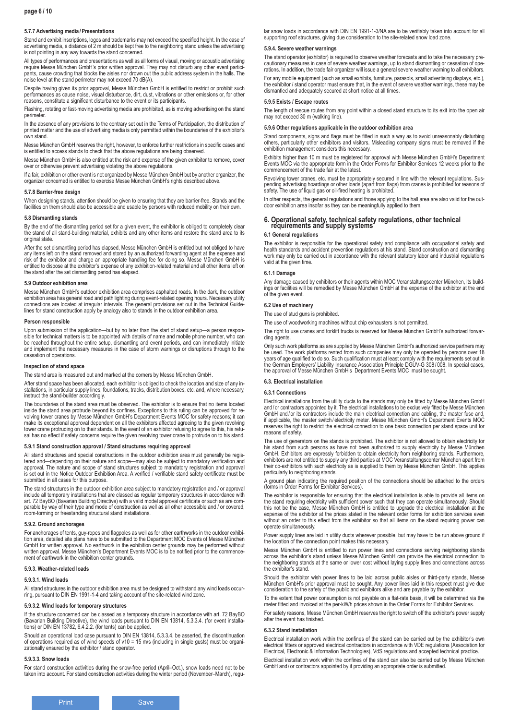### **5.7.7 Advertising media /Presentations**

Stand and exhibit inscriptions, logos and trademarks may not exceed the specified height. In the case of advertising media, a distance of 2 m should be kept free to the neighboring stand unless the advertising is not pointing in any way towards the stand concerned.

All types of performances and presentations as well as all forms of visual, moving or acoustic advertising require Messe München GmbH's prior written approval. They may not disturb any other event participants, cause crowding that blocks the aisles nor drown out the public address system in the halls. The noise level at the stand perimeter may not exceed 70 dB(A).

Despite having given its prior approval, Messe München GmbH is entitled to restrict or prohibit such performances as cause noise, visual disturbance, dirt, dust, vibrations or other emissions or, for other reasons, constitute a significant disturbance to the event or its participants.

Flashing, rotating or fast-moving advertising media are prohibited, as is moving advertising on the stand perimeter

In the absence of any provisions to the contrary set out in the Terms of Participation, the distribution of printed matter and the use of advertising media is only permitted within the boundaries of the exhibitor's own stand.

Messe München GmbH reserves the right, however, to enforce further restrictions in specific cases and is entitled to access stands to check that the above regulations are being observed.

Messe München GmbH is also entitled at the risk and expense of the given exhibitor to remove, cover over or otherwise prevent advertising violating the above regulations.

If a fair, exhibition or other event is not organized by Messe München GmbH but by another organizer, the organizer concerned is entitled to exercise Messe München GmbH's rights described above.

#### **5.7.8 Barrier-free design**

When designing stands, attention should be given to ensuring that they are barrier-free. Stands and the facilities on them should also be accessible and usable by persons with reduced mobility on their own.

#### **5.8 Dismantling stands**

By the end of the dismantling period set for a given event, the exhibitor is obliged to completely clear<br>the stand of all stand-building material, exhibits and any other items and restore the stand area to its original state.

After the set dismantling period has elapsed, Messe München GmbH is entitled but not obliged to have any items left on the stand removed and stored by an authorized forwarding agent at the expense and risk of the exhibitor and charge an appropriate handling fee for doing so. Messe München GmbH is entitled to dispose at the exhibitor's expense of any exhibition-related material and all other items left on the stand after the set dismantling period has elapsed.

#### **5.9 Outdoor exhibition area**

Messe München GmbH's outdoor exhibition area comprises asphalted roads. In the dark, the outdoor<br>exhibition area has general road and path lighting during event-related opening hours. Necessary utility<br>connections are loca lines for stand construction apply by analogy also to stands in the outdoor exhibition area.

#### **Person responsible**

Upon submission of the application—but by no later than the start of stand setup—a person responsible for technical matters is to be appointed with details of name and mobile phone number, who can be reached throughout the entire setup, dismantling and event periods, and can immediately initiate and implement the necessary measures in the case of storm warnings or disruptions through to the cessation of operations.

#### **Inspection of stand space**

The stand area is measured out and marked at the corners by Messe München GmbH.

After stand space has been allocated, each exhibitor is obliged to check the location and size of any installations, in particular supply lines, foundations, tracks, distribution boxes, etc. and, where necessary, instruct the stand-builder accordingly.

The boundaries of the stand area must be observed. The exhibitor is to ensure that no items located inside the stand area protrude beyond its confines. Exceptions to this ruling can be approved for re-volving tower cranes by Messe München GmbH's Department Events MOC for safety reasons; it can make its exceptional approval dependent on all the exhibitors affected agreeing to the given revolving tower crane protruding on to their stands. In the event of an exhibitor refusing to agree to this, his refu-sal has no effect if safety concerns require the given revolving tower crane to protrude on to his stand.

### **5.9.1 Stand construction approval / Stand structures requiring approval**

All stand structures and special constructions in the outdoor exhibition area must generally be registered and—depending on their nature and scope—may also be subject to mandatory verification and<br>approval. The nature and scope of stand structures subject to mandatory registration and approval<br>is set out in the Notice Out submitted in all cases for this purpose.

The stand structures in the outdoor exhibition area subject to mandatory registration and / or approval include all temporary installations that are classed as regular temporary structures in accordance with art. 72 BayBO (Bavarian Building Directive) with a valid model approval certificate or such as are com-parable by way of their type and mode of construction as well as all other accessible and / or covered, room-forming or freestanding structural stand installations.

#### **5.9.2. Ground anchorages**

For anchorages of tents, guy-ropes and flagpoles as well as for other earthworks in the outdoor exhibi-<br>tion area, detailed site plans have to be submitted to the Department MOC Events of Messe München<br>GmbH for written app written approval. Messe München's Department Events MOC is to be notified prior to the commencement of earthwork in the exhibition center grounds.

### **5.9.3. Weather-related loads**

#### **5.9.3.1. Wind loads**

All stand structures in the outdoor exhibition area must be designed to withstand any wind loads occurring, pursuant to DIN EN 1991-1-4 and taking account of the site-related wind zone.

### **5.9.3.2. Wind loads for temporary structures**

If the structure concerned can be classed as a temporary structure in accordance with art. 72 BayBO (Bavarian Building Directive), the wind loads pursuant to DIN EN 13814, 5.3.3.4. (for event installa-tions) or DIN EN 13782, 6.4.2.2. (for tents) can be applied.

Should an operational load case pursuant to DIN EN 13814, 5.3.3.4. be asserted, the discontinuation of operations required as of wind speeds of v10 = 15 m/s (including in single gusts) must be organizationally ensured by the exhibitor / stand operator.

#### **5.9.3.3. Snow loads**

For stand construction activities during the snow-free period (April–Oct.), snow loads need not to be taken into account. For stand construction activities during the winter period (November–March), regular snow loads in accordance with DIN EN 1991-1-3/NA are to be verifiably taken into account for all supporting roof structures, giving due consideration to the site-related snow load zone.

#### **5.9.4. Severe weather warnings**

The stand operator (exhibitor) is required to observe weather forecasts and to take the necessary precautionary measures in case of severe weather warnings, up to stand dismantling or cessation of operations. In addition, the trade fair organizer will issue a general severe weather warning to all exhibitors. For any mobile equipment (such as small exhibits, furniture, parasols, small advertising displays, etc.), the exhibitor / stand operator must ensure that, in the event of severe weather warnings, these may be dismantled and adequately secured at short notice at all times.

#### **5.9.5 Exists / Escape routes**

The length of rescue routes from any point within a closed stand structure to its exit into the open air may not exceed 30 m (walking line).

### **5.9.6 Other regulations applicable in the outdoor exhibition area**

Stand components, signs and flags must be fitted in such a way as to avoid unreasonably disturbing others, particularly other exhibitors and visitors. Misleading company signs must be removed if the exhibition management considers this necessary.

Exhibits higher than 10 m must be registered for approval with Messe München GmbH's Department Events MOC via the appropriate form in the Order Forms for Exhibitor Services 12 weeks prior to the commencement of the trade fair at the latest.

Revolving tower cranes, etc. must be appropriately secured in line with the relevant regulations. Sus-pending advertising hoardings or other loads (apart from flags) from cranes is prohibited for reasons of safety. The use of liquid gas or oil-fired heating is prohibited.

In other respects, the general regulations and those applying to the hall area are also valid for the outdoor exhibition area insofar as they can be meaningfully applied to them.

# **6. Operational safety, technical safety regulations, other technical requirements and supply systems**

#### **6.1 General regulations**

The exhibitor is responsible for the operational safety and compliance with occupational safety and health standards and accident prevention regulations at his stand. Stand construction and dismantling work may only be carried out in accordance with the relevant statutory labor and industrial regulations valid at the given time.

#### **6.1.1 Damage**

Any damage caused by exhibitors or their agents within MOC Veranstaltungscenter München, its buildings or facilities will be remedied by Messe München GmbH at the expense of the exhibitor at the end of the given event.

#### **6.2 Use of machinery**

The use of stud guns is prohibited.

The use of woodworking machines without chip exhausters is not permitted.

The right to use cranes and forklift trucks is reserved for Messe München GmbH's authorized forwarding agents

Only such work platforms as are supplied by Messe München GmbH's authorized service partners may be used. The work platforms rented from such companies may only be operated by persons over 18 years of age qualified to do so. Such qualification must at least comply with the requirements set out in the German Employers' Liability Insurance Association Principle DGUV-G 308 / 008. In special cases, the approval of Messe München GmbH's Department Events MOC must be sought.

### **6.3. Electrical installation**

### **6.3.1 Connections**

Electrical installations from the utility ducts to the stands may only be fitted by Messe München GmbH and / or contractors appointed by it. The electrical installations to be exclusively fitted by Messe München GmbH and/or its contractors include the main electrical connection and cabling, the master fuse and, if applicable, the master switch / electricity meter. Messe München GmbH's Department Events MOC reserves the right to restrict the electrical connection to one basic connection per stand space unit for reasons of safety.

The use of generators on the stands is prohibited. The exhibitor is not allowed to obtain electricity for his stand from such persons as have not been authorized to supply electricity by Messe München<br>GmbH. Exhibitors are expressly forbidden to obtain electricity from neighboring stands. Furthermore,<br>exhibitors are not entitle particularly to neighboring stands.

A ground plan indicating the required position of the connections should be attached to the orders (forms in Order Forms for Exhibitor Services).

The exhibitor is responsible for ensuring that the electrical installation is able to provide all items on the stand requiring electricity with sufficient power such that they can operate simultaneously. Should this not be the case, Messe München GmbH is entitled to upgrade the electrical installation at the expense of the exhibitor at the prices stated in the relevant order forms for exhibition services even without an order to this effect from the exhibitor so that all items on the stand requiring power can operate simultaneously.

Power supply lines are laid in utility ducts wherever possible, but may have to be run above ground if the location of the connection point makes this necessary.

Messe München GmbH is entitled to run power lines and connections serving neighboring stands across the exhibitor's stand unless Messe München GmbH can provide the electrical connection to the neighboring stands at the same or lower cost without laying supply lines and connections across the exhibitor's stand.

Should the exhibitor wish power lines to be laid across public aisles or third-party stands, Messe München GmbH's prior approval must be sought. Any power lines laid in this respect must give due consideration to the safety of the public and exhibitors alike and are payable by the exhibitor.

To the extent that power consumption is not payable on a flat-rate basis, it will be determined via the meter fitted and invoiced at the per-kW/h prices shown in the Order Forms for Exhibitor Services.

For safety reasons, Messe München GmbH reserves the right to switch off the exhibitor's power supply after the event has finished.

#### **6.3.2 Stand installation**

Electrical installation work within the confines of the stand can be carried out by the exhibitor's own electrical fitters or approved electrical contractors in accordance with VDE regulations (Association for Electrical, Electronic & Information Technologies), VdS regulations and accepted technical practice.

Electrical installation work within the confines of the stand can also be carried out by Messe München GmbH and / or contractors appointed by it providing an appropriate order is submitted.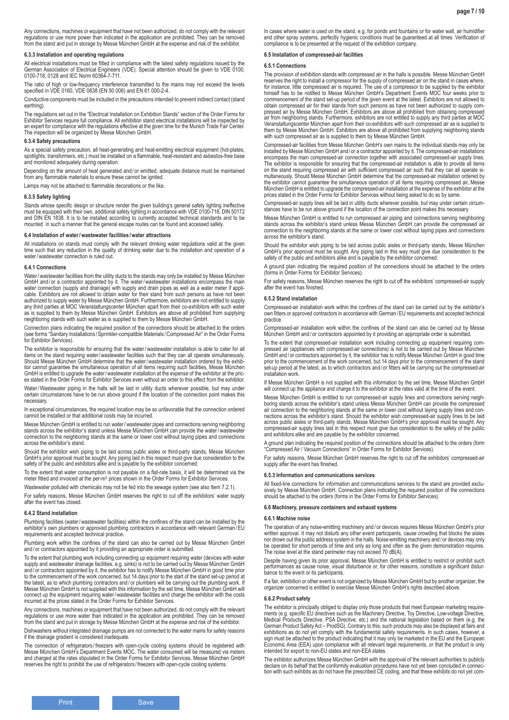Any connections, machines or equipment that have not been authorized, do not comply with the relevant regulations or use more power than indicated in the application are prohibited. They can be removed from the stand and put in storage by Messe München GmbH at the expense and risk of the exhibitor.

### **6.3.3 Installation and operating regulations**

All electrical installations must be fitted in compliance with the latest safety regulations issued by the German Association of Electrical Engineers (VDE). Special attention should be given to VDE 0100, 0100-718, 0128 and IEC Norm 60364-7-711.

The ratio of high or low-frequency interference transmitted to the mains may not exceed the levels specified in VDE 0160, VDE 0838 (EN 50 006) and EN 61 000-2-4.

Conductive components must be included in the precautions intended to prevent indirect contact (stand earthing).

The regulations set out in the "Electrical Installation on Exhibition Stands" section of the Order Forms for Exhibitor Services require full compliance. All exhibition stand electrical installations will be inspected by an expert for compliance with the regulations effective at the given time for the Munich Trade Fair Center. The inspection will be organized by Messe München GmbH.

#### **6.3.4 Safety precautions**

As a special safety precaution, all heat-generating and heat-emitting electrical equipment (hot-plates,<br>spotlights, transformers, etc.) must be installed on a flammable, heat-resistant and asbestos-free base and monitored adequately during operation.

Depending on the amount of heat generated and / or emitted, adequate distance must be maintained from any flammable materials to ensure these cannot be ignited.

Lamps may not be attached to flammable decorations or the like.

#### **6.3.5 Safety lighting**

Stands whose specific design or structure render the given building's general safety lighting ineffective must be equipped with their own, additional safety lighting in accordance with VDE 0100-718, DIN 50172 and DIN EN 1838. It is to be installed according to currently accepted technical standards and to be mounted in such a manner that the general escape routes can be found and accessed safely.

#### **6.4 Installation of water/wastewater facilities /water attractions**

All installations on stands must comply with the relevant drinking water regulations valid at the given time such that any reduction in the quality of drinking water due to the installation and operation of a water/wastewater connection is ruled out.

#### **6.4.1 Connections**

Water/wastewater facilities from the utility ducts to the stands may only be installed by Messe München GmbH and/or a contractor appointed by it. The water/wastewater installations encompass the main<br>water connection (supply and drainage) with supply and drain pipes as well as a water meter if appli-<br>cable. Exhibitors are no authorized to supply water by Messe München GmbH. Furthermore, exhibitors are not entitled to supply any third parties at MOC Veranstaltungscenter München apart from their co-exhibitors with such water as is supplied to them by Messe München GmbH. Exhibitors are above all prohibited from supplying neighboring stands with such water as is supplied to them by Messe München GmbH.

Connection plans indicating the required position of the connections should be attached to the orders (see forms "Sanitary Installations /Sprinkler-compatible Materials /Compressed Air" in the Order Forms for Exhibitor Services).

The exhibitor is responsible for ensuring that the water/wastewater installation is able to cater for all items on the stand requiring water/wastewater facilities such that they can all operate simultaneously. Should Messe München GmbH determine that the water/wastewater installation ordered by the exhib-itor cannot guarantee the simultaneous operation of all items requiring such facilities, Messe München GmbH is entitled to upgrade the water/wastewater installation at the expense of the exhibitor at the prices stated in the Order Forms for Exhibitor Services even without an order to this effect from the exhibitor. Water/Wastewater piping in the halls will be laid in utility ducts wherever possible, but may under

certain circumstances have to be run above ground if the location of the connection point makes this necessary.

In exceptional circumstances, the required location may be so unfavorable that the connection ordered cannot be installed or that additional costs may be incurred.

Messe München GmbH is entitled to run water/wastewater pipes and connections serving neighboring stands across the exhibitor's stand unless Messe München GmbH can provide the water/wastewater connection to the neighboring stands at the same or lower cost without laying pipes and connections across the exhibitor's stand.

Should the exhibitor wish piping to be laid across public aisles or third-party stands, Messe München GmbH's prior approval must be sought. Any piping laid in this respect must give due consideration to the safety of the public and exhibitors alike and is payable by the exhibitor concerned.

To the extent that water consumption is not payable on a flat-rate basis, it will be determined via the meter fitted and invoiced at the per-m<sup>3</sup> prices shown in the Order Forms for Exhibitor Services.

Wastewater polluted with chemicals may not be fed into the sewage system (see also Item 7.2.1).

For safety reasons, Messe München GmbH reserves the right to cut off the exhibitors' water supply after the event has closed.

### **6.4.2 Stand installation**

Plumbing facilities (water/wastewater facilities) within the confines of the stand can be installed by the exhibitor's own plumbers or approved plumbing contractors in accordance with relevant German /EU requirements and accepted technical practice.

Plumbing work within the confines of the stand can also be carried out by Messe München GmbH and / or contractors appointed by it providing an appropriate order is submitted.

To the extent that plumbing work including connecting up equipment requiring water (devices with water supply and wastewater drainage facilities, e.g. sinks) is not to be carried out by Messe München GmbH and / or contractors appointed by it, the exhibitor has to notify Messe München GmbH in good time prior to the commencement of the work concerned, but 14 days prior to the start of the stand set-up period at the latest, as to which plumbing contractors and / or plumbers will be carrying out the plumbing work. If Messe München GmbH is not supplied with this information by the set time, Messe München GmbH will connect up the equipment requiring water/wastewater facilities and charge the exhibitor with the costs incurred at the prices stated in the Order Forms for Exhibitor Services.

Any connections, machines or equipment that have not been authorized, do not comply with the relevant regulations or use more water than indicated in the application are prohibited. They can be removed from the stand and put in storage by Messe München GmbH at the expense and risk of the exhibitor.

Dishwashers without integrated drainage pumps are not connected to the water mains for safety reasons if the drainage gradient is considered inadequate.

The connection of refrigerators/freezers with open-cycle cooling systems should be registered with<br>Messe München GmbH's Department Events MOC. The water consumed will be measured via meters<br>and charged at the rates stipula reserves the right to prohibit the use of refrigerators / freezers with open-cycle cooling systems.

In cases where water is used on the stand, e.g. for ponds and fountains or for water wall, air humidifier and other spray systems, perfectly hygienic conditions must be guaranteed at all times. Verification of compliance is to be presented at the request of the exhibition company.

### **6.5 Installation of compressed-air facilities**

#### **6.5.1 Connections**

The provision of exhibition stands with compressed air in the halls is possible. Messe München GmbH reserves the right to install a compressor for the supply of compressed air on the stand in cases where,<br>for instance, little compressed air is required. The use of a compressor to be supplied by the exhibitor<br>himself has commencement of the stand set-up period of the given event at the latest. Exhibitors are not allowed to obtain compressed air for their stands from such persons as have not been authorized to supply compressed air by Messe München GmbH. Exhibitors are above all prohibited from obtaining compressed air from neighboring stands. Furthermore, exhibitors are not entitled to supply any third parties at MOC Veranstaltungscenter München apart from their co-exhibitors with such compressed air as is supplied to them by Messe München GmbH. Exhibitors are above all prohibited from supplying neighboring stands with such compressed air as is supplied to them by Messe München GmbH.

Compressed-air facilities from Messe München GmbH's own mains to the individual stands may only be installed by Messe München GmbH and / or a contractor appointed by it. The compressed-air install<br>installed by Messe München GmbH and / or a contractor appointed by it. The compressed-air instal encompass the main compressed-air connection together with associated compressed-air supply lines.<br>The exhibitor is responsible for ensuring that the compressed-air installation is able to provide all items<br>on the stand re the exhibitor cannot guarantee the simultaneous operation of all items requiring compressed air, Messe München GmbH is entitled to upgrade the compressed-air installation at the expense of the exhibitor at the prices stated in the Order Forms for Exhibitor Services without being asked to do so by same.

Compressed-air supply lines will be laid in utility ducts wherever possible, but may under certain circumstances have to be run above ground if the location of the connection point makes this necessary.

Messe München GmbH is entitled to run compressed air piping and connections serving neighboring stands across the exhibitor's stand unless Messe München GmbH can provide the compressed air connection to the neighboring stands at the same or lower cost without laying pipes and connections across the exhibitor's stand.

Should the exhibitor wish piping to be laid across public aisles or third-party stands, Messe München GmbH's prior approval must be sought. Any piping laid in this way must give due consideration to the safety of the public and exhibitors alike and is payable by the exhibitor concerned.

A ground plan indicating the required position of the connections should be attached to the orders (forms in Order Forms for Exhibitor Services).

For safety reasons, Messe München reserves the right to cut off the exhibitors' compressed-air supply after the event has finished.

#### **6.5.2 Stand installation**

Compressed-air installation work within the confines of the stand can be carried out by the exhibitor's own fitters or approved contractors in accordance with German /EU requirements and accepted technical practice.

Compressed-air installation work within the confines of the stand can also be carried out by Messe München GmbH and / or contractors appointed by it providing an appropriate order is submitted.

To the extent that compressed-air installation work including connecting up equipment requiring compressed air (appliances with compressed-air connections) is not to be carried out by Messe München GmbH and / or contractors appointed by it, the exhibitor has to notify Messe München GmbH in good time prior to the commencement of the work concerned, but 14 days prior to the commencement of the stand set-up period at the latest, as to which contractors and/or fitters will be carrying out the compressed-air installation work.

If Messe München GmbH is not supplied with this information by the set time, Messe München GmbH will connect up the appliance and charge it to the exhibitor at the rates valid at the time of the event.

Messe München GmbH is entitled to run compressed-air supply lines and connections serving neighboring stands across the exhibitor's stand unless Messe München GmbH can provide the compressed air connection to the neighboring stands at the same or lower cost without laying supply lines and con-nections across the exhibitor's stand. Should the exhibitor wish compressed-air supply lines to be laid across public aisles or third-party stands, Messe München GmbH's prior approval must be sought. Any compressed-air supply lines laid in this respect must give due consideration to the safety of the public and exhibitors alike and are payable by the exhibitor concerned.

A ground plan indicating the required position of the connections should be attached to the orders (form "Compressed Air / Vacuum Connections" in Order Forms for Exhibitor Services).

For safety reasons, Messe München GmbH reserves the right to cut off the exhibitors' compressed-air supply after the event has finished.

#### **6.5.3 Information and communications services**

All fixed-line connections for information and communications services to the stand are provided exclusively by Messe München GmbH. Connection plans indicating the required position of the connections should be attached to the orders (forms in the Order Forms for Exhibitor Services).

### **6.6 Machinery, pressure containers and exhaust systems**

#### **6.6.1 Machine noise**

The operation of any noise-emitting machinery and / or devices requires Messe München GmbH's prior written approval. It may not disturb any other event participants, cause crowding that blocks the aisles nor drown out the public address system in the halls. Noise-emitting machinery and / or devices may only be operated for short periods of time and only as long and often as the given demonstration requires. The noise level at the stand perimeter may not exceed 70 dB(A).

Despite having given its prior approval, Messe München GmbH is entitled to restrict or prohibit such performances as cause noise, visual disturbance or, for other reasons, constitute a significant disturbance to the event or its participants.

If a fair, exhibition or other event is not organized by Messe München GmbH but by another organizer, the organizer concerned is entitled to exercise Messe München GmbH's rights described above.

### **6.6.2 Product safety**

The exhibitor is principally obliged to display only those products that meet European marketing require-<br>ments (e.g. specific EU directives such as the Machinery Directive, Toy Directive, Low-voltage Directive,<br>Medical Pr sign must be attached to the product indicating that it may only be marketed in the EU and the European Economic Area (EEA) upon compliance with all relevant legal requirements, or that the product is only intended for export to non-EU states and non-EEA states.

The exhibitor authorizes Messe München GmbH with the approval of the relevant authorities to publicly<br>declare on its behalf that the conformity evaluation procedures have not yet been concluded in connec-<br>tion with such ex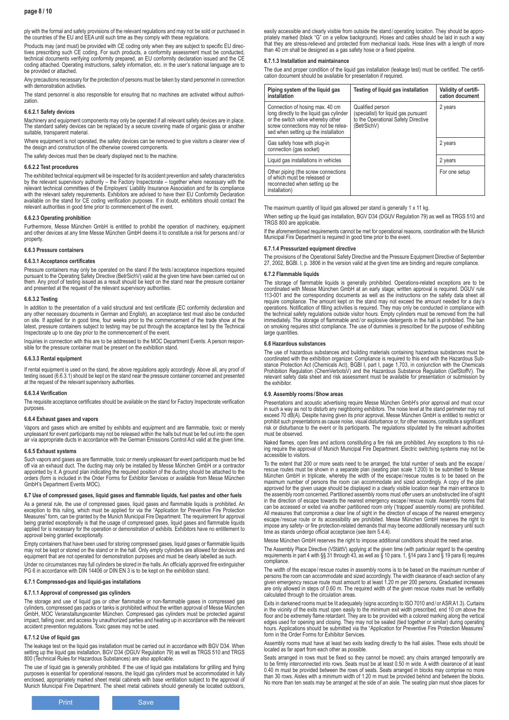### **page 8 / 10**

ply with the formal and safety provisions of the relevant regulations and may not be sold or purchased in the countries of the EU and EEA until such time as they comply with these regulations.

Products may (and must) be provided with CE coding only when they are subject to specific EU directives prescribing such CE coding. For such products, a conformity assessment must be conducted, technical documents verifying conformity prepared, an EU conformity declaration issued and the CE coding attached. Operating instructions, safety information, etc. in the user's national language are to be provided or attached.

Any precautions necessary for the protection of persons must be taken by stand personnel in connection with demonstration activities

The stand personnel is also responsible for ensuring that no machines are activated without authorization

### **6.6.2.1 Safety devices**

Machinery and equipment components may only be operated if all relevant safety devices are in place. The standard safety devices can be replaced by a secure covering made of organic glass or another suitable, transparent material

Where equipment is not operated, the safety devices can be removed to give visitors a clearer view of the design and construction of the otherwise covered components.

The safety devices must then be clearly displayed next to the machine.

#### **6.6.2.2 Test procedures**

The exhibited technical equipment will be inspected for its accident prevention and safety characteristics<br>by the relevant supervisory authority – the Factory Inspectorate – together where necessary with the<br>relevant techn available on the stand for CE coding verification purposes. If in doubt, exhibitors should contact the relevant authorities in good time prior to commencement of the event.

#### **6.6.2.3 Operating prohibition**

Furthermore, Messe München GmbH is entitled to prohibit the operation of machinery, equipment and other devices at any time Messe München GmbH deems it to constitute a risk for persons and / or property.

#### **6.6.3 Pressure containers**

#### **6.6.3.1 Acceptance certificates**

Pressure containers may only be operated on the stand if the tests / acceptance inspections required pursuant to the Operating Safety Directive (BetrSichV) valid at the given time have been carried out on them. Any proof of testing issued as a result should be kept on the stand near the pressure container and presented at the request of the relevant supervisory authorities.

#### **6.6.3.2 Testing**

In addition to the presentation of a valid structural and test certificate (EC conformity declaration and any other necessary documents in German and English), an acceptance test must also be conducted on site. If applied for in good time, four weeks prior to the commencement of the trade show at the<br>latest, pressure containers subject to testing may be put through the acceptance test by the Technical<br>Inspectorate up to

Inquiries in connection with this are to be addressed to the MOC Department Events. A person responsible for the pressure container must be present on the exhibition stand.

### **6.6.3.3 Rental equipment**

If rental equipment is used on the stand, the above regulations apply accordingly. Above all, any proof of testing issued (6.6.3.1) should be kept on the stand near the pressure container concerned and presented at the request of the relevant supervisory authorities.

#### **6.6.3.4 Verification**

The requisite acceptance certificates should be available on the stand for Factory Inspectorate verification purposes.

#### **6.6.4 Exhaust gases and vapors**

Vapors and gases which are emitted by exhibits and equipment and are flammable, toxic or merely unpleasant for event participants may not be released within the halls but must be fed out into the open air via appropriate ducts in accordance with the German Emissions Control Act valid at the given time.

#### **6.6.5 Exhaust systems**

Such vapors and gases as are flammable, toxic or merely unpleasant for event participants must be fed off via an exhaust duct. The ducting may only be installed by Messe München GmbH or a contractor appointed by it. A ground plan indicating the required position of the ducting should be attached to the orders (form is included in the Order Forms for Exhibitor Services or available from Messe München GmbH's Department Events MOC).

#### **6.7 Use of compressed gases, liquid gases and flammable liquids, fuel pastes and other fuels**

As a general rule, the use of compressed gases, liquid gases and flammable liquids is prohibited. An exception to this ruling, which must be applied for via the "Application for Preventive Fire Protection Measures" form, c approval being granted exceptionally.

Empty containers that have been used for storing compressed gases, liquid gases or flammable liquids may not be kept or stored on the stand or in the hall. Only empty cylinders are allowed for devices and equipment that are not operated for demonstration purposes and must be clearly labelled as such.

Under no circumstances may full cylinders be stored in the halls. An officially approved fire extinguisher PG 6 in accordance with DIN 14406 or DIN EN 3 is to be kept on the exhibition stand.

#### **6.7.1 Compressed-gas and liquid-gas installations**

### **6.7.1.1 Approval of compressed gas cylinders**

The storage and use of liquid gas or other flammable or non-flammable gases in compressed gas<br>cylinders, compressed gas packs or tanks is prohibited without the written approval of Messe München<br>GmbH, MOC Veranstaltungscen impact, falling over, and access by unauthorized parties and heating up in accordance with the relevant accident prevention regulations. Toxic gases may not be used.

### **6.7.1.2 Use of liquid gas**

The leakage test on the liquid gas installation must be carried out in accordance with BGV D34. When setting up the liquid gas installation, BGV D34 (DGUV Regulation 79) as well as TRGS 510 and TRGS<br>800 (Technical Rules for Hazardous Substances) are also applicable.

The use of liquid gas is generally prohibited. If the use of liquid gas installations for grilling and frying purposes is essential for operational reasons, the liquid gas cylinders must be accommodated in fully enclosed, appropriately marked sheet metal cabinets with base ventilation subject to the approval of Munich Municipal Fire Department. The sheet metal cabinets should generally be located outdoors,

easily accessible and clearly visible from outside the stand / operating location. They should be appropriately marked (black "G" on a yellow background). Hoses and cables should be laid in such a way that they are stress-relieved and protected from mechanical loads. Hose lines with a length of more than 40 cm shall be designed as a gas safety hose or a fixed pipeline.

### **6.7.1.3 Installation and maintainance**

The due and proper condition of the liquid gas installation (leakage test) must be certified. The certification document should be available for presentation if required.

| Piping system of the liquid gas<br>installation                                                                                                                                                 | Testing of liquid gas installation                                                                             | Validity of certifi-<br>cation document |
|-------------------------------------------------------------------------------------------------------------------------------------------------------------------------------------------------|----------------------------------------------------------------------------------------------------------------|-----------------------------------------|
| Connection of hosing max. 40 cm<br>long directly to the liquid gas cylinder<br>or the switch valve whereby other<br>screw connections may not be relea-<br>sed when setting up the installation | Qualified person<br>(specialist) for liquid gas pursuant<br>to the Operational Safety Directive<br>(BetrSichV) | 2 years                                 |
| Gas safety hose with plug-in<br>connection (gas socket)                                                                                                                                         |                                                                                                                | 2 years                                 |
| Liquid gas installations in vehicles                                                                                                                                                            |                                                                                                                | 2 years                                 |
| Other piping (the screw connections<br>of which must be released or<br>reconnected when setting up the<br>installation)                                                                         |                                                                                                                | For one setup                           |

The maximum quantity of liquid gas allowed per stand is generally 1 x 11 kg.

When setting up the liquid gas installation, BGV D34 (DGUV Regulation 79) as well as TRGS 510 and TRGS 800 are applicable.

If the aforementioned requirements cannot be met for operational reasons, coordination with the Munich Municipal Fire Department is required in good time prior to the event.

#### **6.7.1.4 Pressurized equipment directive**

The provisions of the Operational Safety Directive and the Pressure Equipment Directive of September 27, 2002, BGBl. I, p. 3806 in the version valid at the given time are binding and require compliance.

### **6.7.2 Flammable liquids**

The storage of flammable liquids is generally prohibited. Operations-related exceptions are to be<br>coordinated with Messe München GmbH at an early stage; written approval is required. DGUV rule<br>113-001 and the corresponding require compliance. The amount kept on the stand may not exceed the amount needed for a day's operations. Notification of filling activities is required. They may only be conducted in compliance with the technical safety regulations outside visitor hours. Empty cylinders must be removed from the hall immediately. The storage of flammable and / or explosive detergents in the hall is prohibited. The ban on smoking requires strict compliance. The use of dummies is prescribed for the purpose of exhibiting large quantities.

#### **6.8 Hazardous substances**

The use of hazardous substances and building materials containing hazardous substances must be<br>coordinated with the exhibition organizer. Compliance is required to this end with the Hazardous Sub-<br>stance Protection Act (Ch Prohibition Regulation (ChemVerbotsV) and the Hazardous Substance Regulation (GefStoffV). The relevant safety data sheet and risk assessment must be available for presentation or submission by the exhibitor.

### **6.9. Assembly rooms /Show areas**

Presentations and acoustic advertising require Messe München GmbH's prior approval and must occur in such a way as not to disturb any neighboring exhibitors. The noise level at the stand perimeter may not exceed 70 dB(A). Despite having given its prior approval, Messe München GmbH is entitled to restrict or prohibit such presentations as cause noise, visual disturbance or, for other reasons, constitute a significant risk or disturbance to the event or its participants. The regulations stipulated by the relevant authorities must be observed.

Naked flames, open fires and actions constituting a fire risk are prohibited. Any exceptions to this rul-ing require the approval of Munich Municipal Fire Department. Electric switching systems may not be accessible to visitors.

To the extent that 200 or more seats need to be arranged, the total number of seats and the escape/ rescue routes must be shown in a separate plan (seating plan scale 1:200) to be submitted to Messe<br>München GmbH in triplicate, whereby the width of the escape/rescue routes is to be based on the<br>maximum number of persons t approved for the given usage should be displayed in a clearly visible location near the main entrance to the assembly room concerned. Partitioned assembly rooms must offer users an unobstructed line of sight in the direction of escape towards the nearest emergency escape /rescue route. Assembly rooms that can be accessed or exited via another partitioned room only ('trapped' assembly rooms) are prohibited.<br>All measures that compromise a clear line of sight in the direction of escape of the nearest emergency<br>escape/rescue ro impose any safety- or fire protection-related demands that may become additionally necessary until such time as stands undergo official acceptance (see item 5.4.4).

Messe München GmbH reserves the right to impose additional conditions should the need arise.

The Assembly Place Directive (VStättV) applying at the given time (with particular regard to the operating requirements in part 4 with §§ 31 through 43, as well as § 10 para. 1, §14 para 3 and § 19 para 6) requires compliance.

The width of the escape/rescue routes in assembly rooms is to be based on the maximum number of<br>persons the room can accommodate and sized accordingly. The width clearance of each section of any<br>given emergency rescue rout calculated through to the circulation areas.

Exits in darkened rooms must be lit adequately (signs according to ISO 7010 and / or ASR A1.3). Curtains in the vicinity of the exits must open easily to the minimum exit width prescribed, end 10 cm above the floor and be extremely flame retardant. They are to be provided with a colored marking along the vertical edges used for opening and closing. They may not be sealed (tied together or similar) during operating hours. Applications should be submitted via the "Application for Preventive Fire Protection Measures" form in the Order Forms for Exhibitor Services.

Assembly rooms must have at least two exits leading directly to the hall aisles. These exits should be located as far apart from each other as possible.

Seats arranged in rows must be fixed so they cannot be moved; any chairs arranged temporarily are to be firmly interconnected into rows. Seats must be at least 0.50 m wide. A width clearance of at least<br>0.40 m must be provided between the rows of seats. Seats arranged in blocks may comprise no more<br>than 30 rows. Aisles No more than ten seats may be arranged at the side of an aisle. The seating plan must show places for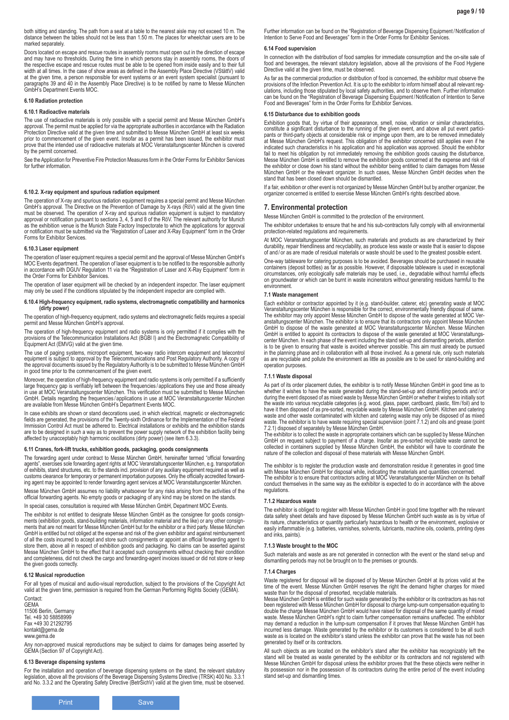both sitting and standing. The path from a seat at a table to the nearest aisle may not exceed 10 m. The distance between the tables should not be less than 1.50 m. The places for wheelchair users are to be marked separately.

Doors located on escape and rescue routes in assembly rooms must open out in the direction of escape and may have no thresholds. During the time in which persons stay in assembly rooms, the doors of the respective escape and rescue routes must be able to be opened from inside easily and to their full width at all times. In the case of show areas as defined in the Assembly Place Directive (VStättV) valid at the given time, a person responsible for event systems or an event system specialist (pursuant to<br>paragraphs 39 and 40 in the Assembly Place Directive) is to be notified by name to Messe München<br>GmbH's Department Events

#### **6.10 Radiation protection**

#### **6.10.1 Radioactive materials**

The use of radioactive materials is only possible with a special permit and Messe München GmbH's approval. The permit must be applied for via the appropriate authorities in accordance with the Radiation Protection Directive valid at the given time and submitted to Messe München GmbH at least six weeks prior to commencement of the given event. Insofar as a permit has been issued, the exhibitor must prove that the intended use of radioactive materials at MOC Veranstaltungscenter München is covered by the permit concerned.

See the Application for Preventive Fire Protection Measures form in the Order Forms for Exhibitor Services for further information.

### **6.10.2. X-ray equipment and spurious radiation equipment**

The operation of X-ray and spurious radiation equipment requires a special permit and Messe München GmbH's approval. The Directive on the Prevention of Damage by X-rays (RöV) valid at the given time must be observed. The operation of X-ray and spurious radiation equipment is subject to mandatory approval or notification pursuant to sections 3, 4, 5 and 8 of the RöV. The relevant authority for Munich as the exhibition venue is the Munich State Factory Inspectorate to which the applications for approval or notification must be submitted via the "Registration of Laser and X-Ray Equipment" form in the Order Forms for Exhibitor Services.

#### **6.10.3 Laser equipment**

The operation of laser equipment requires a special permit and the approval of Messe München GmbH's MOC Events department. The operation of laser equipment is to be notified to the responsible authority in accordance with DGUV Regulation 11 via the "Registration of Laser and X-Ray Equipment" form in the Order Forms for Exhibitor Services.

The operation of laser equipment will be checked by an independent inspector. The laser equipment may only be used if the conditions stipulated by the independent inspector are complied with.

#### **6.10.4 High-frequency equipment, radio systems, electromagnetic compatibility and harmonics (dirty power)**

The operation of high-frequency equipment, radio systems and electromagnetic fields requires a special permit and Messe München GmbH's approval.

The operation of high-frequency equipment and radio systems is only permitted if it complies with the<br>provisions of the Telecommunication Installations Act (BGBI I) and the Electromagnetic Compatibility of<br>Equipment Act (E

The use of paging systems, microport equipment, two-way radio intercom equipment and telecontrol equipment is subject to approval by the Telecommunications and Post Regulatory Authority. A copy of<br>the approval documents issued by the Regulatory Authority is to be submitted to Messe München GmbH<br>in good time prior to t

Moreover, the operation of high-frequency equipment and radio systems is only permitted if a sufficiently large frequency gap is verifiably left between the frequencies / applications they use and those already in use at MOC Veranstaltungscenter München. This verification must be submitted to Messe München GmbH. Details regarding the frequencies / applications in use at MOC Veranstaltungscenter München are available from Messe München GmbH's Department Events MOC.

In case exhibits are shown or stand decorations used, in which electrical, magnetic or electromagnetic fields are generated, the provisions of the Twenty-sixth Ordinance for the Implementation of the Federal Immission Control Act must be adhered to. Electrical installations or exhibits and the exhibition stands are to be designed in such a way as to prevent the power supply network of the exhibition facility being affected by unacceptably high harmonic oscillations (dirty power) (see item 6.3.3).

### **6.11 Cranes, fork-lift trucks, exhibition goods, packaging, goods consignments**

The forwarding agent under contract to Messe München GmbH, hereinafter termed "official forwarding agents", exercises sole forwarding agent rights at MOC Veranstaltungscenter München, e.g. transportation of exhibits, stand structures, etc. to the stands incl. provision of any auxiliary equipment required as well as<br>customs clearance for temporary or permanent importation purposes. Only the officially accredited forward-<br>in Messe München GmbH assumes no liability whatsoever for any risks arising from the activities of the

official forwarding agents. No empty goods or packaging of any kind may be stored on the stands. In special cases, consultation is required with Messe München GmbH, Department MOC Events.

The exhibitor is not entitled to designate Messe München GmbH as the consignee for goods consignments (exhibition goods, stand-building materials, information material and the like) or any other consign-ments that are not meant for Messe München GmbH but for the exhibitor or a third party. Messe München GmbH is entitled but not obliged at the expense and risk of the given exhibitor and against reimbursement of all the costs incurred to accept and store such consignments or appoint an official forwarding agent to store them, above all in respect of exhibition goods and packaging. No claims can be asserted against Messe München GmbH to the effect that it accepted such consignments without checking their condition and completeness, did not check the cargo and forwarding-agent invoices issued or did not store or keep the given goods correctly.

#### **6.12 Musical reproduction**

For all types of musical and audio-visual reproduction, subject to the provisions of the Copyright Act valid at the given time, permission is required from the German Performing Rights Society (GEMA). Contact:

**GEMA** 11506 Berlin, Germany Tel. +49 30 58858999 Fax +49 30 21292795 kontakt@gema.de www.gema.de

Any non-approved musical reproductions may be subject to claims for damages being asserted by GEMA (Section 97 of Copyright Act).

#### **6.13 Beverage dispensing systems**

For the installation and operation of beverage dispensing systems on the stand, the relevant statutory legislation, above all the provisions of the Beverage Dispensing Systems Directive (TRSK) 400 No. 3.3.1<br>and No. 3.3.2 and the Operating Safety Directive (BetrSichV) valid at the given time, must be observed. Further information can be found on the "Registration of Beverage Dispensing Equipment /Notification of Intention to Serve Food and Beverages" form in the Order Forms for Exhibitor Services.

#### **6.14 Food supervision**

In connection with the distribution of food samples for immediate consumption and the on-site sale of food and beverages, the relevant statutory legislation, above all the provisions of the Food Hygiene Directive valid at the given time, must be observed.

As far as the commercial production or distribution of food is concerned, the exhibitor must observe the provisions of the Infection Prevention Act. It is up to the exhibitor to inform himself about all relevant regulations, including those stipulated by local safety authorities, and to observe them. Further information can be found on the "Registration of Beverage Dispensing Equipment /Notification of Intention to Serve Food and Beverages" form in the Order Forms for Exhibitor Services.

#### **6.15 Disturbance due to exhibition goods**

Exhibition goods that, by virtue of their appearance, smell, noise, vibration or similar characteristics,<br>constitute a significant disturbance to the running of the given event, and above all put event partici-<br>pants or th at Messe München GmbH's request. This obligation of the exhibitor concerned still applies even if he indicated such characteristics in his application and his application was approved. Should the exhibitor fail to meet his obligation by not immediately removing the exhibition goods causing the disturbance, Messe München GmbH is entitled to remove the exhibition goods concerned at the expense and risk of the exhibitor or close down his stand without the exhibitor being entitled to claim damages from Messe München GmbH or the relevant organizer. In such cases, Messe München GmbH decides when the stand that has been closed down should be dismantled.

If a fair, exhibition or other event is not organized by Messe München GmbH but by another organizer, the organizer concerned is entitled to exercise Messe München GmbH's rights described above.

### **7. Environmental protection**

Messe München GmbH is committed to the protection of the environment.

The exhibitor undertakes to ensure that he and his sub-contractors fully comply with all environmental protection-related regulations and requirements.

At MOC Veranstaltungscenter München, such materials and products as are characterized by their durability, repair friendliness and recyclability, as produce less waste or waste that is easier to dispose of and / or as are made of residual materials or waste should be used to the greatest possible extent.

One-way tableware for catering purposes is to be avoided. Beverages should be purchased in reusable containers (deposit bottles) as far as possible. However, if disposable tableware is used in exceptional circumstances, only ecologically safe materials may be used, i.e., degradable without harmful effects on groundwater or which can be burnt in waste incinerators without generating residues harmful to the environment.

#### **7.1 Waste management**

Each exhibitor or contractor appointed by it (e.g. stand-builder, caterer, etc) generating waste at MOC Veranstaltungscenter München is responsible for the correct, environmentally friendly disposal of same. The exhibitor may only appoint Messe München GmbH to dispose of the waste generated at MOC Ver-anstaltungscenter München. The exhibitor is to ensure that its contractors only appoint Messe München GmbH to dispose of the waste generated at MOC Veranstaltungscenter München. Messe München GmbH is entitled to appoint its contractors to dispose of the waste generated at MOC Veranstaltungscenter München. In each phase of the event including the stand set-up and dismantling periods, attention<br>is to be given to ensuring that waste is avoided wherever possible. This aim must already be pursued<br>in the planning operation purposes.

#### **7.1.1 Waste disposal**

As part of its order placement duties, the exhibitor is to notify Messe München GmbH in good time as to whether it wishes to have the waste generated during the stand-set-up and dismantling periods and / or during the event disposed of as mixed waste by Messe München GmbH or whether it wishes to initially sort the waste into various recyclable categories (e.g. wood, glass, paper, cardboard, plastic, film/ foil) and to have it then disposed of as pre-sorted, recyclable waste by Messe München GmbH. Kitchen and catering waste and other waste contaminated with kitchen and catering waste may only be disposed of as mixed waste. The exhibitor is to have waste requiring special supervision (point 7.1.2) and oils and grease (point 7.2.1) disposed of separately by Messe München GmbH.

The exhibitor is to collect the waste in appropriate containers which can be supplied by Messe München GmbH on request subject to payment of a charge. Insofar as pre-sorted recyclable waste cannot be collected in containers supplied by Messe München GmbH, the exhibitor will have to coordinate the nature of the collection and disposal of these materials with Messe München GmbH.

The exhibitor is to register the production waste and demonstration residue it generates in good time with Messe München GmbH for disposal while, indicating the materials and quantities concerned. The exhibitor is to ensure that contractors acting at MOC Veranstaltungscenter München on its behalf conduct themselves in the same way as the exhibitor is expected to do in accordance with the above regulations.

#### **7.1.2 Hazardous waste**

The exhibitor is obliged to register with Messe München GmbH in good time together with the relevant data safety sheet details and have disposed by Messe München GmbH such waste as is by virtue of its nature, characteristics or quantity particularly hazardous to health or the environment, explosive or easily inflammable (e.g. batteries, varnishes, solvents, lubricants, machine oils, coolants, printing dyes and inks, paints).

#### **7.1.3 Waste brought to the MOC**

Such materials and waste as are not generated in connection with the event or the stand set-up and dismantling periods may not be brought on to the premises or grounds.

#### **7.1.4 Charges**

Waste registered for disposal will be disposed of by Messe München GmbH at its prices valid at the time of the event. Messe München GmbH reserves the right the demand higher charges for mixed

waste than for the disposal of presorted, recyclable materials.<br>Messe München GmbH is entitled for such waste generated by the exhibitor or its contractors as has not<br>been registered with Messe München GmbH for disposal to double the charge Messe München GmbH would have raised for disposal of the same quantity of mixed waste. Messe München GmbH's right to claim further compensation remains unaffected. The exhibitor may demand a reduction in the lump-sum compensation if it proves that Messe München GmbH has incurred less damage. Waste generated by the exhibitor or its customers is considered to be all such waste as is located on the exhibitor's stand unless the exhibitor can prove that the waste has not been generated by itself or its contractors.

All such objects as are located on the exhibitor's stand after the exhibitor has recognizably left the stand will be treated as waste generated by the exhibitor or its contractors and not registered with Messe München GmbH for disposal unless the exhibitor proves that the these objects were neither in its possession nor in the possession of its contractors during the entire period of the event including stand set-up and dismantling times.